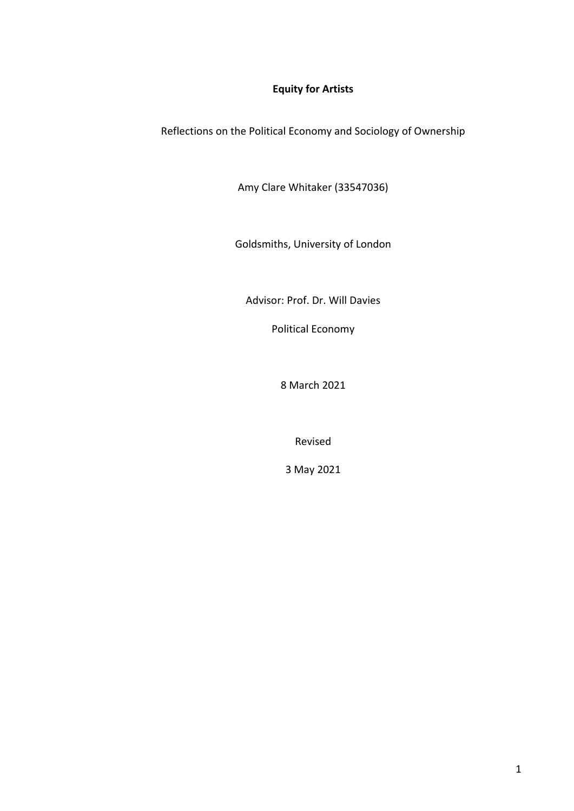# **Equity for Artists**

Reflections on the Political Economy and Sociology of Ownership

Amy Clare Whitaker (33547036)

Goldsmiths, University of London

Advisor: Prof. Dr. Will Davies

Political Economy

8 March 2021

Revised

3 May 2021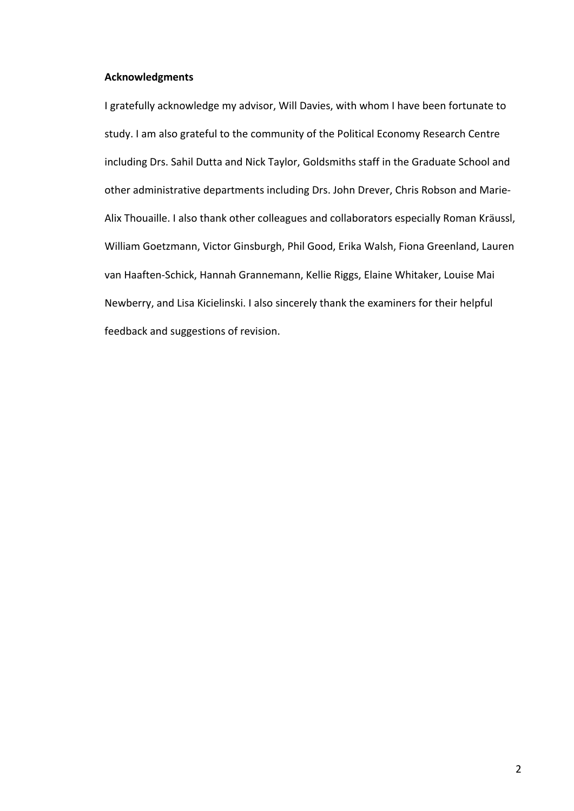### **Acknowledgments**

I gratefully acknowledge my advisor, Will Davies, with whom I have been fortunate to study. I am also grateful to the community of the Political Economy Research Centre including Drs. Sahil Dutta and Nick Taylor, Goldsmiths staff in the Graduate School and other administrative departments including Drs. John Drever, Chris Robson and Marie-Alix Thouaille. I also thank other colleagues and collaborators especially Roman Kräussl, William Goetzmann, Victor Ginsburgh, Phil Good, Erika Walsh, Fiona Greenland, Lauren van Haaften-Schick, Hannah Grannemann, Kellie Riggs, Elaine Whitaker, Louise Mai Newberry, and Lisa Kicielinski. I also sincerely thank the examiners for their helpful feedback and suggestions of revision.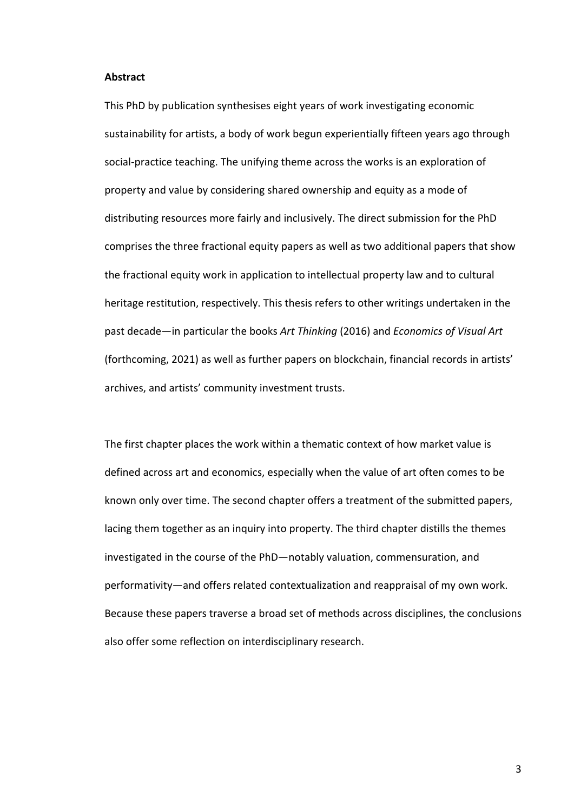### **Abstract**

This PhD by publication synthesises eight years of work investigating economic sustainability for artists, a body of work begun experientially fifteen years ago through social-practice teaching. The unifying theme across the works is an exploration of property and value by considering shared ownership and equity as a mode of distributing resources more fairly and inclusively. The direct submission for the PhD comprises the three fractional equity papers as well as two additional papers that show the fractional equity work in application to intellectual property law and to cultural heritage restitution, respectively. This thesis refers to other writings undertaken in the past decade—in particular the books *Art Thinking* (2016) and *Economics of Visual Art*  (forthcoming, 2021) as well as further papers on blockchain, financial records in artists' archives, and artists' community investment trusts.

The first chapter places the work within a thematic context of how market value is defined across art and economics, especially when the value of art often comes to be known only over time. The second chapter offers a treatment of the submitted papers, lacing them together as an inquiry into property. The third chapter distills the themes investigated in the course of the PhD—notably valuation, commensuration, and performativity—and offers related contextualization and reappraisal of my own work. Because these papers traverse a broad set of methods across disciplines, the conclusions also offer some reflection on interdisciplinary research.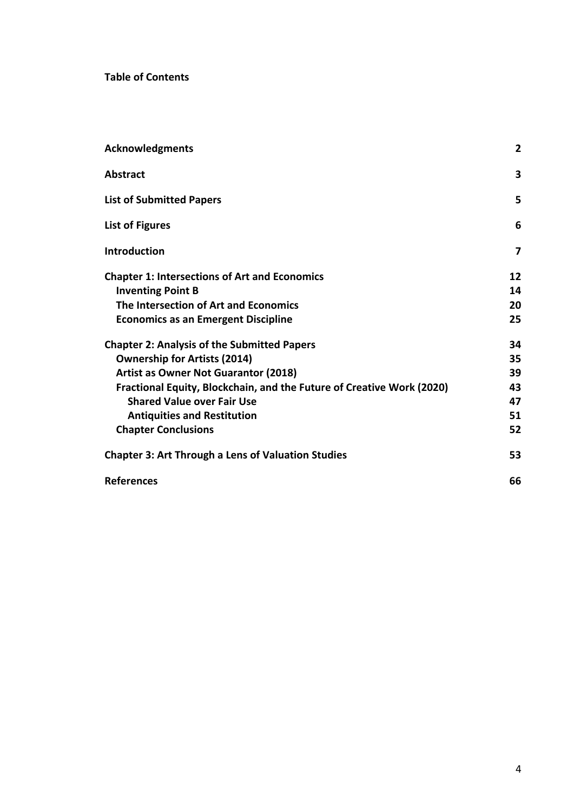**Table of Contents**

| <b>Acknowledgments</b>                                                | $\overline{2}$ |
|-----------------------------------------------------------------------|----------------|
| <b>Abstract</b>                                                       | 3              |
| <b>List of Submitted Papers</b>                                       | 5              |
| <b>List of Figures</b>                                                | 6              |
| <b>Introduction</b>                                                   | 7              |
| <b>Chapter 1: Intersections of Art and Economics</b>                  | 12             |
| <b>Inventing Point B</b>                                              | 14             |
| The Intersection of Art and Economics                                 | 20             |
| <b>Economics as an Emergent Discipline</b>                            | 25             |
| <b>Chapter 2: Analysis of the Submitted Papers</b>                    | 34             |
| <b>Ownership for Artists (2014)</b>                                   | 35             |
| <b>Artist as Owner Not Guarantor (2018)</b>                           | 39             |
| Fractional Equity, Blockchain, and the Future of Creative Work (2020) | 43             |
| <b>Shared Value over Fair Use</b>                                     | 47             |
| <b>Antiquities and Restitution</b>                                    | 51             |
| <b>Chapter Conclusions</b>                                            | 52             |
| <b>Chapter 3: Art Through a Lens of Valuation Studies</b>             | 53             |
| <b>References</b>                                                     | 66             |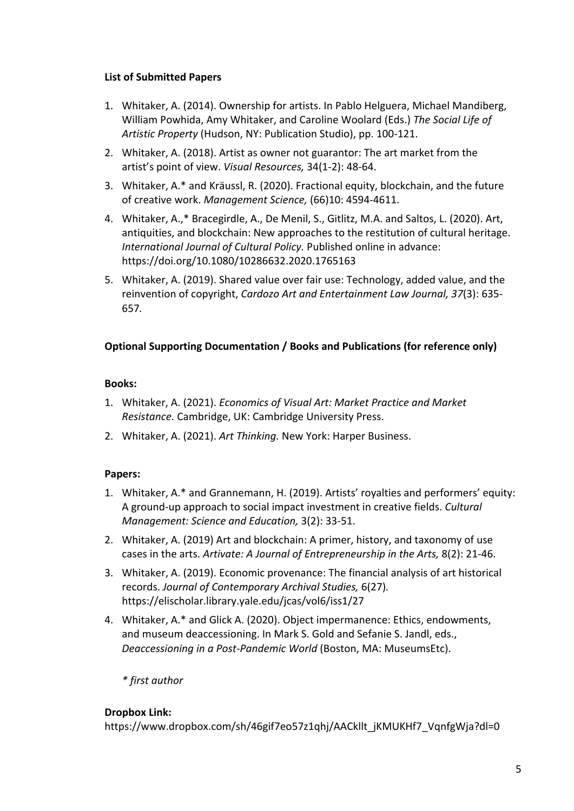# **List of Submitted Papers**

- 1. Whitaker, A. (2014). Ownership for artists. In Pablo Helguera, Michael Mandiberg, William Powhida, Amy Whitaker, and Caroline Woolard (Eds.) *The Social Life of Artistic Property* (Hudson, NY: Publication Studio), pp. 100-121.
- 2. Whitaker, A. (2018). Artist as owner not guarantor: The art market from the artist's point of view. *Visual Resources,* 34(1-2): 48-64.
- 3. Whitaker, A.\* and Kräussl, R. (2020). Fractional equity, blockchain, and the future of creative work. *Management Science,* (66)10: 4594-4611.
- 4. Whitaker, A.,\* Bracegirdle, A., De Menil, S., Gitlitz, M.A. and Saltos, L. (2020). Art, antiquities, and blockchain: New approaches to the restitution of cultural heritage. *International Journal of Cultural Policy.* Published online in advance: https://doi.org/10.1080/10286632.2020.1765163
- 5. Whitaker, A. (2019). Shared value over fair use: Technology, added value, and the reinvention of copyright, *Cardozo Art and Entertainment Law Journal, 37*(3): 635- 657*.*

# **Optional Supporting Documentation / Books and Publications (for reference only)**

# **Books:**

- 1. Whitaker, A. (2021). *Economics of Visual Art: Market Practice and Market Resistance.* Cambridge, UK: Cambridge University Press.
- 2. Whitaker, A. (2021). *Art Thinking.* New York: Harper Business.

# **Papers:**

- 1. Whitaker, A.\* and Grannemann, H. (2019). Artists' royalties and performers' equity: A ground-up approach to social impact investment in creative fields. *Cultural Management: Science and Education,* 3(2): 33-51.
- 2. Whitaker, A. (2019) Art and blockchain: A primer, history, and taxonomy of use cases in the arts. *Artivate: A Journal of Entrepreneurship in the Arts,* 8(2): 21-46.
- 3. Whitaker, A. (2019). Economic provenance: The financial analysis of art historical records. *Journal of Contemporary Archival Studies,* 6(27)*.*  https://elischolar.library.yale.edu/jcas/vol6/iss1/27
- 4. Whitaker, A.\* and Glick A. (2020). Object impermanence: Ethics, endowments, and museum deaccessioning. In Mark S. Gold and Sefanie S. Jandl, eds., *Deaccessioning in a Post-Pandemic World* (Boston, MA: MuseumsEtc).

*\* first author*

# **Dropbox Link:**

https://www.dropbox.com/sh/46gif7eo57z1qhj/AACkllt\_jKMUKHf7\_VqnfgWja?dl=0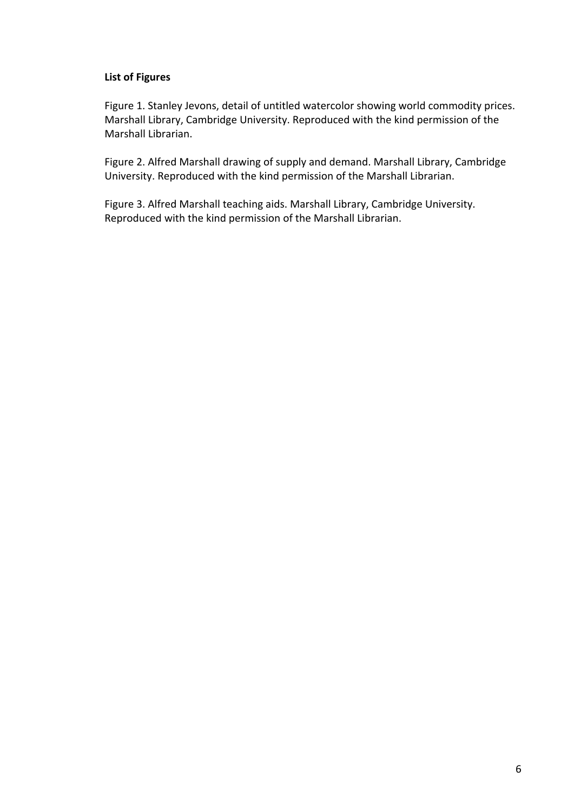### **List of Figures**

Figure 1. Stanley Jevons, detail of untitled watercolor showing world commodity prices. Marshall Library, Cambridge University. Reproduced with the kind permission of the Marshall Librarian.

Figure 2. Alfred Marshall drawing of supply and demand. Marshall Library, Cambridge University. Reproduced with the kind permission of the Marshall Librarian.

Figure 3. Alfred Marshall teaching aids. Marshall Library, Cambridge University. Reproduced with the kind permission of the Marshall Librarian.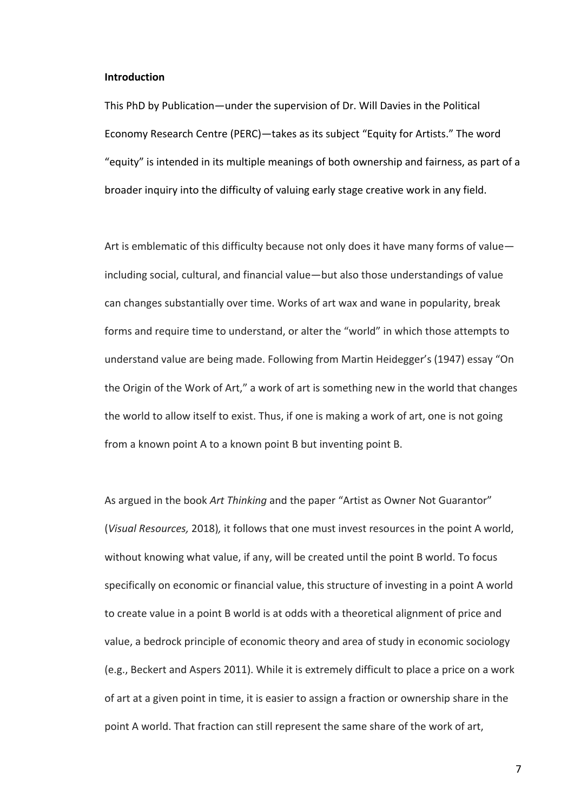### **Introduction**

This PhD by Publication—under the supervision of Dr. Will Davies in the Political Economy Research Centre (PERC)—takes as its subject "Equity for Artists." The word "equity" is intended in its multiple meanings of both ownership and fairness, as part of a broader inquiry into the difficulty of valuing early stage creative work in any field.

Art is emblematic of this difficulty because not only does it have many forms of value including social, cultural, and financial value—but also those understandings of value can changes substantially over time. Works of art wax and wane in popularity, break forms and require time to understand, or alter the "world" in which those attempts to understand value are being made. Following from Martin Heidegger's (1947) essay "On the Origin of the Work of Art," a work of art is something new in the world that changes the world to allow itself to exist. Thus, if one is making a work of art, one is not going from a known point A to a known point B but inventing point B.

As argued in the book *Art Thinking* and the paper "Artist as Owner Not Guarantor" (*Visual Resources,* 2018)*,* it follows that one must invest resources in the point A world, without knowing what value, if any, will be created until the point B world. To focus specifically on economic or financial value, this structure of investing in a point A world to create value in a point B world is at odds with a theoretical alignment of price and value, a bedrock principle of economic theory and area of study in economic sociology (e.g., Beckert and Aspers 2011). While it is extremely difficult to place a price on a work of art at a given point in time, it is easier to assign a fraction or ownership share in the point A world. That fraction can still represent the same share of the work of art,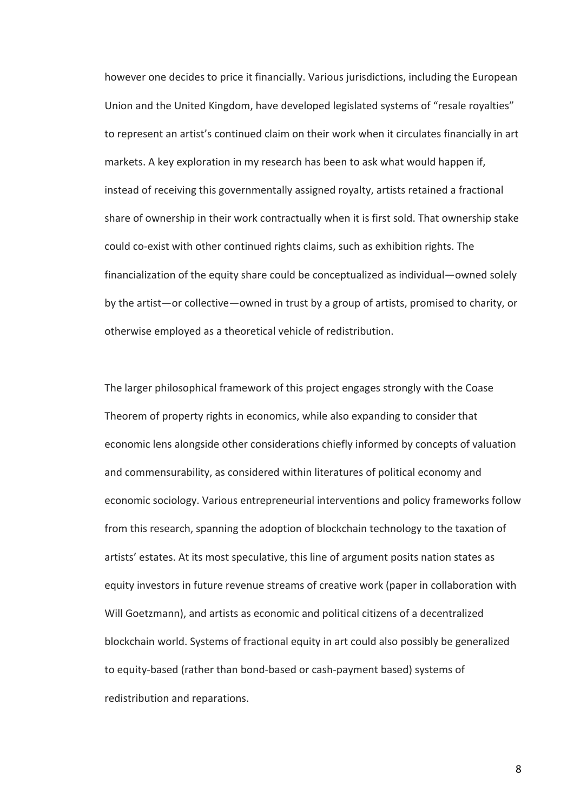however one decides to price it financially. Various jurisdictions, including the European Union and the United Kingdom, have developed legislated systems of "resale royalties" to represent an artist's continued claim on their work when it circulates financially in art markets. A key exploration in my research has been to ask what would happen if, instead of receiving this governmentally assigned royalty, artists retained a fractional share of ownership in their work contractually when it is first sold. That ownership stake could co-exist with other continued rights claims, such as exhibition rights. The financialization of the equity share could be conceptualized as individual—owned solely by the artist—or collective—owned in trust by a group of artists, promised to charity, or otherwise employed as a theoretical vehicle of redistribution.

The larger philosophical framework of this project engages strongly with the Coase Theorem of property rights in economics, while also expanding to consider that economic lens alongside other considerations chiefly informed by concepts of valuation and commensurability, as considered within literatures of political economy and economic sociology. Various entrepreneurial interventions and policy frameworks follow from this research, spanning the adoption of blockchain technology to the taxation of artists' estates. At its most speculative, this line of argument posits nation states as equity investors in future revenue streams of creative work (paper in collaboration with Will Goetzmann), and artists as economic and political citizens of a decentralized blockchain world. Systems of fractional equity in art could also possibly be generalized to equity-based (rather than bond-based or cash-payment based) systems of redistribution and reparations.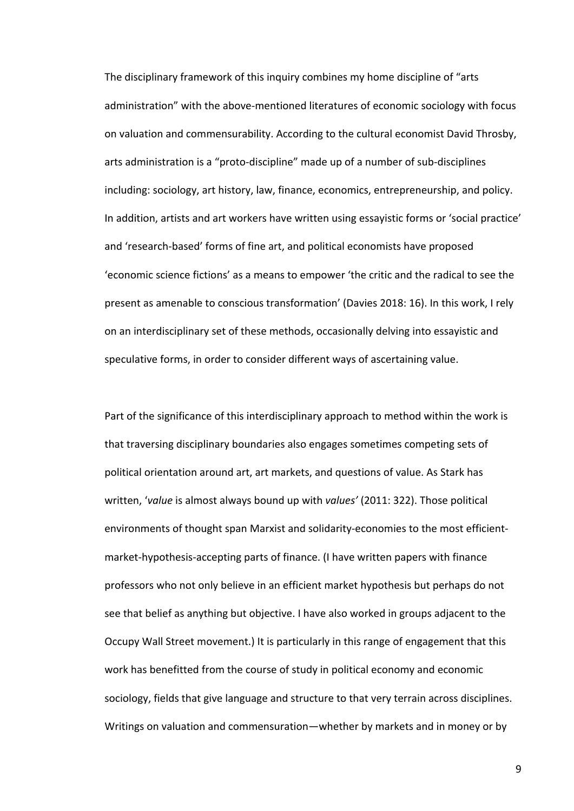The disciplinary framework of this inquiry combines my home discipline of "arts administration" with the above-mentioned literatures of economic sociology with focus on valuation and commensurability. According to the cultural economist David Throsby, arts administration is a "proto-discipline" made up of a number of sub-disciplines including: sociology, art history, law, finance, economics, entrepreneurship, and policy. In addition, artists and art workers have written using essayistic forms or 'social practice' and 'research-based' forms of fine art, and political economists have proposed 'economic science fictions' as a means to empower 'the critic and the radical to see the present as amenable to conscious transformation' (Davies 2018: 16). In this work, I rely on an interdisciplinary set of these methods, occasionally delving into essayistic and speculative forms, in order to consider different ways of ascertaining value.

Part of the significance of this interdisciplinary approach to method within the work is that traversing disciplinary boundaries also engages sometimes competing sets of political orientation around art, art markets, and questions of value. As Stark has written, '*value* is almost always bound up with *values'* (2011: 322). Those political environments of thought span Marxist and solidarity-economies to the most efficientmarket-hypothesis-accepting parts of finance. (I have written papers with finance professors who not only believe in an efficient market hypothesis but perhaps do not see that belief as anything but objective. I have also worked in groups adjacent to the Occupy Wall Street movement.) It is particularly in this range of engagement that this work has benefitted from the course of study in political economy and economic sociology, fields that give language and structure to that very terrain across disciplines. Writings on valuation and commensuration—whether by markets and in money or by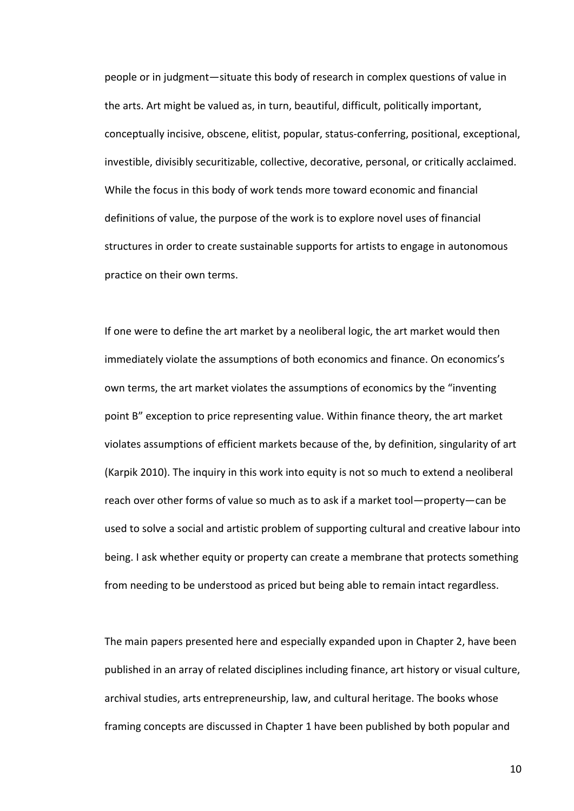people or in judgment—situate this body of research in complex questions of value in the arts. Art might be valued as, in turn, beautiful, difficult, politically important, conceptually incisive, obscene, elitist, popular, status-conferring, positional, exceptional, investible, divisibly securitizable, collective, decorative, personal, or critically acclaimed. While the focus in this body of work tends more toward economic and financial definitions of value, the purpose of the work is to explore novel uses of financial structures in order to create sustainable supports for artists to engage in autonomous practice on their own terms.

If one were to define the art market by a neoliberal logic, the art market would then immediately violate the assumptions of both economics and finance. On economics's own terms, the art market violates the assumptions of economics by the "inventing point B" exception to price representing value. Within finance theory, the art market violates assumptions of efficient markets because of the, by definition, singularity of art (Karpik 2010). The inquiry in this work into equity is not so much to extend a neoliberal reach over other forms of value so much as to ask if a market tool—property—can be used to solve a social and artistic problem of supporting cultural and creative labour into being. I ask whether equity or property can create a membrane that protects something from needing to be understood as priced but being able to remain intact regardless.

The main papers presented here and especially expanded upon in Chapter 2, have been published in an array of related disciplines including finance, art history or visual culture, archival studies, arts entrepreneurship, law, and cultural heritage. The books whose framing concepts are discussed in Chapter 1 have been published by both popular and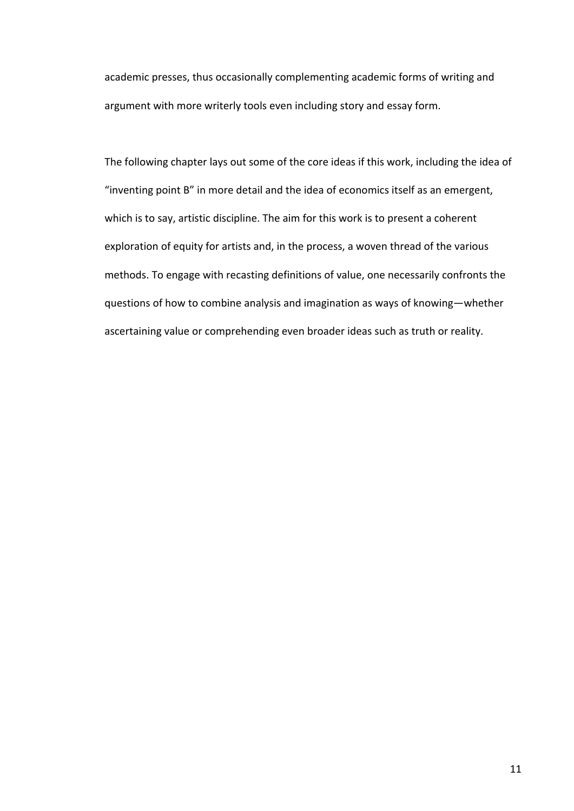academic presses, thus occasionally complementing academic forms of writing and argument with more writerly tools even including story and essay form.

The following chapter lays out some of the core ideas if this work, including the idea of "inventing point B" in more detail and the idea of economics itself as an emergent, which is to say, artistic discipline. The aim for this work is to present a coherent exploration of equity for artists and, in the process, a woven thread of the various methods. To engage with recasting definitions of value, one necessarily confronts the questions of how to combine analysis and imagination as ways of knowing—whether ascertaining value or comprehending even broader ideas such as truth or reality.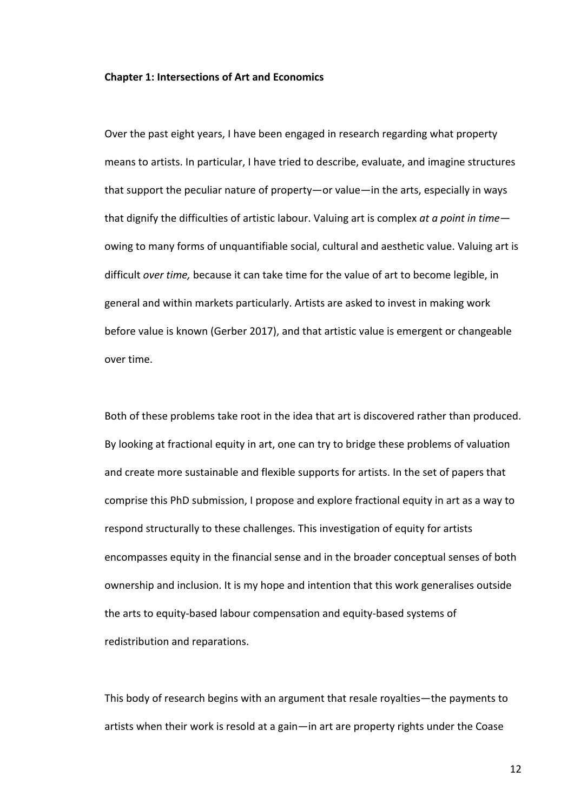### **Chapter 1: Intersections of Art and Economics**

Over the past eight years, I have been engaged in research regarding what property means to artists. In particular, I have tried to describe, evaluate, and imagine structures that support the peculiar nature of property—or value—in the arts, especially in ways that dignify the difficulties of artistic labour. Valuing art is complex *at a point in time* owing to many forms of unquantifiable social, cultural and aesthetic value. Valuing art is difficult *over time,* because it can take time for the value of art to become legible, in general and within markets particularly. Artists are asked to invest in making work before value is known (Gerber 2017), and that artistic value is emergent or changeable over time.

Both of these problems take root in the idea that art is discovered rather than produced. By looking at fractional equity in art, one can try to bridge these problems of valuation and create more sustainable and flexible supports for artists. In the set of papers that comprise this PhD submission, I propose and explore fractional equity in art as a way to respond structurally to these challenges. This investigation of equity for artists encompasses equity in the financial sense and in the broader conceptual senses of both ownership and inclusion. It is my hope and intention that this work generalises outside the arts to equity-based labour compensation and equity-based systems of redistribution and reparations.

This body of research begins with an argument that resale royalties—the payments to artists when their work is resold at a gain—in art are property rights under the Coase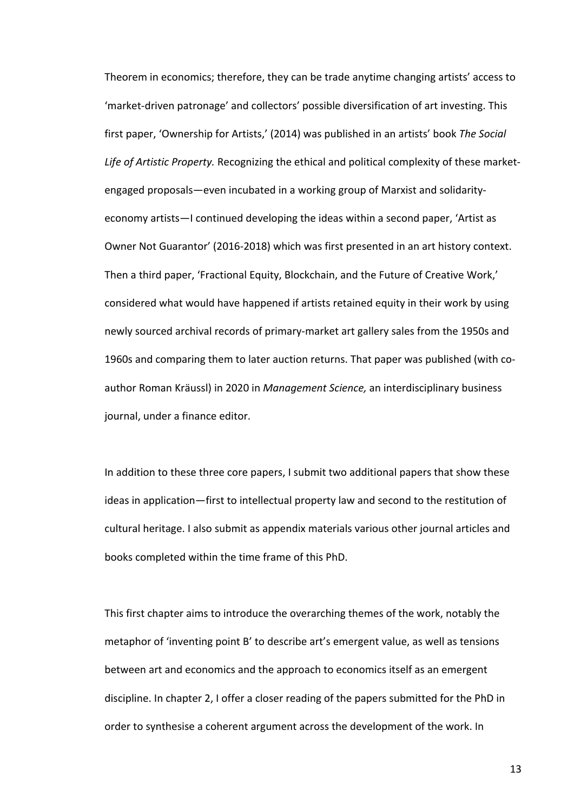Theorem in economics; therefore, they can be trade anytime changing artists' access to 'market-driven patronage' and collectors' possible diversification of art investing. This first paper, 'Ownership for Artists,' (2014) was published in an artists' book *The Social Life of Artistic Property.* Recognizing the ethical and political complexity of these marketengaged proposals—even incubated in a working group of Marxist and solidarityeconomy artists—I continued developing the ideas within a second paper, 'Artist as Owner Not Guarantor' (2016-2018) which was first presented in an art history context. Then a third paper, 'Fractional Equity, Blockchain, and the Future of Creative Work,' considered what would have happened if artists retained equity in their work by using newly sourced archival records of primary-market art gallery sales from the 1950s and 1960s and comparing them to later auction returns. That paper was published (with coauthor Roman Kräussl) in 2020 in *Management Science,* an interdisciplinary business journal, under a finance editor.

In addition to these three core papers, I submit two additional papers that show these ideas in application—first to intellectual property law and second to the restitution of cultural heritage. I also submit as appendix materials various other journal articles and books completed within the time frame of this PhD.

This first chapter aims to introduce the overarching themes of the work, notably the metaphor of 'inventing point B' to describe art's emergent value, as well as tensions between art and economics and the approach to economics itself as an emergent discipline. In chapter 2, I offer a closer reading of the papers submitted for the PhD in order to synthesise a coherent argument across the development of the work. In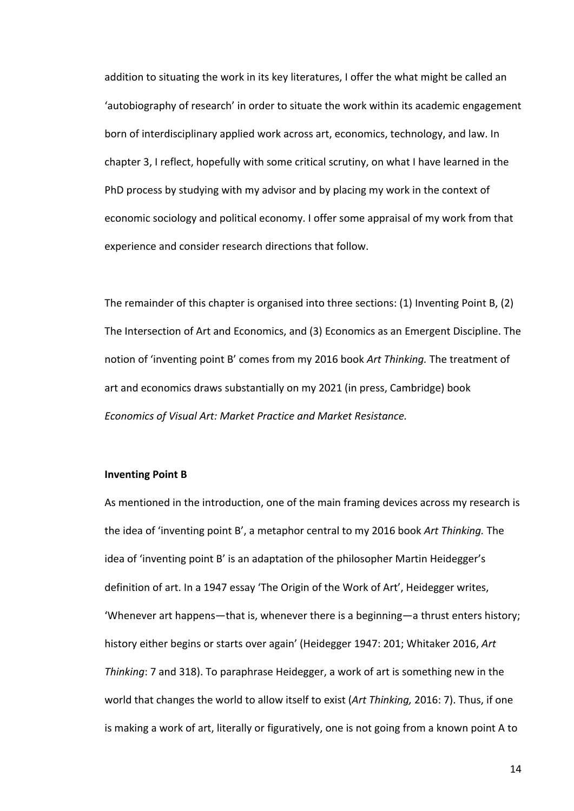addition to situating the work in its key literatures, I offer the what might be called an 'autobiography of research' in order to situate the work within its academic engagement born of interdisciplinary applied work across art, economics, technology, and law. In chapter 3, I reflect, hopefully with some critical scrutiny, on what I have learned in the PhD process by studying with my advisor and by placing my work in the context of economic sociology and political economy. I offer some appraisal of my work from that experience and consider research directions that follow.

The remainder of this chapter is organised into three sections: (1) Inventing Point B, (2) The Intersection of Art and Economics, and (3) Economics as an Emergent Discipline. The notion of 'inventing point B' comes from my 2016 book *Art Thinking.* The treatment of art and economics draws substantially on my 2021 (in press, Cambridge) book *Economics of Visual Art: Market Practice and Market Resistance.*

### **Inventing Point B**

As mentioned in the introduction, one of the main framing devices across my research is the idea of 'inventing point B', a metaphor central to my 2016 book *Art Thinking.* The idea of 'inventing point B' is an adaptation of the philosopher Martin Heidegger's definition of art. In a 1947 essay 'The Origin of the Work of Art', Heidegger writes, 'Whenever art happens—that is, whenever there is a beginning—a thrust enters history; history either begins or starts over again' (Heidegger 1947: 201; Whitaker 2016, *Art Thinking*: 7 and 318). To paraphrase Heidegger, a work of art is something new in the world that changes the world to allow itself to exist (*Art Thinking,* 2016: 7). Thus, if one is making a work of art, literally or figuratively, one is not going from a known point A to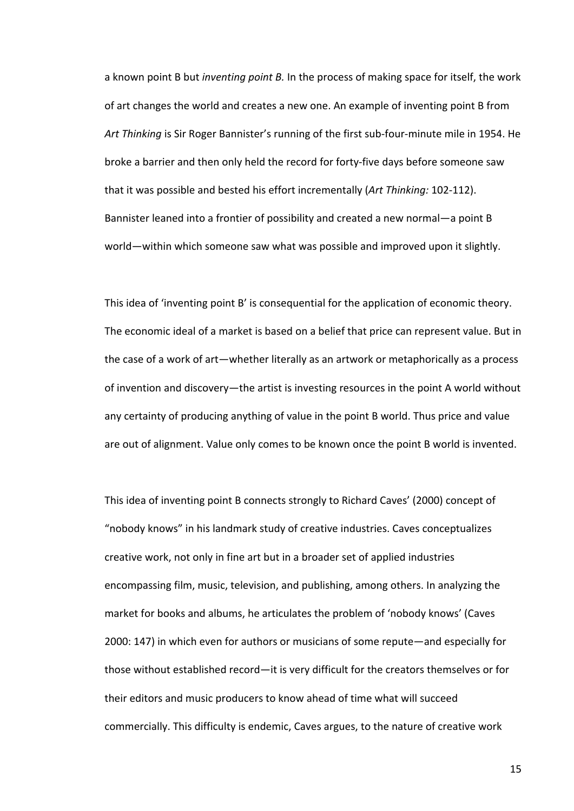a known point B but *inventing point B.* In the process of making space for itself, the work of art changes the world and creates a new one. An example of inventing point B from *Art Thinking* is Sir Roger Bannister's running of the first sub-four-minute mile in 1954. He broke a barrier and then only held the record for forty-five days before someone saw that it was possible and bested his effort incrementally (*Art Thinking:* 102-112). Bannister leaned into a frontier of possibility and created a new normal—a point B world—within which someone saw what was possible and improved upon it slightly.

This idea of 'inventing point B' is consequential for the application of economic theory. The economic ideal of a market is based on a belief that price can represent value. But in the case of a work of art—whether literally as an artwork or metaphorically as a process of invention and discovery—the artist is investing resources in the point A world without any certainty of producing anything of value in the point B world. Thus price and value are out of alignment. Value only comes to be known once the point B world is invented.

This idea of inventing point B connects strongly to Richard Caves' (2000) concept of "nobody knows" in his landmark study of creative industries. Caves conceptualizes creative work, not only in fine art but in a broader set of applied industries encompassing film, music, television, and publishing, among others. In analyzing the market for books and albums, he articulates the problem of 'nobody knows' (Caves 2000: 147) in which even for authors or musicians of some repute—and especially for those without established record—it is very difficult for the creators themselves or for their editors and music producers to know ahead of time what will succeed commercially. This difficulty is endemic, Caves argues, to the nature of creative work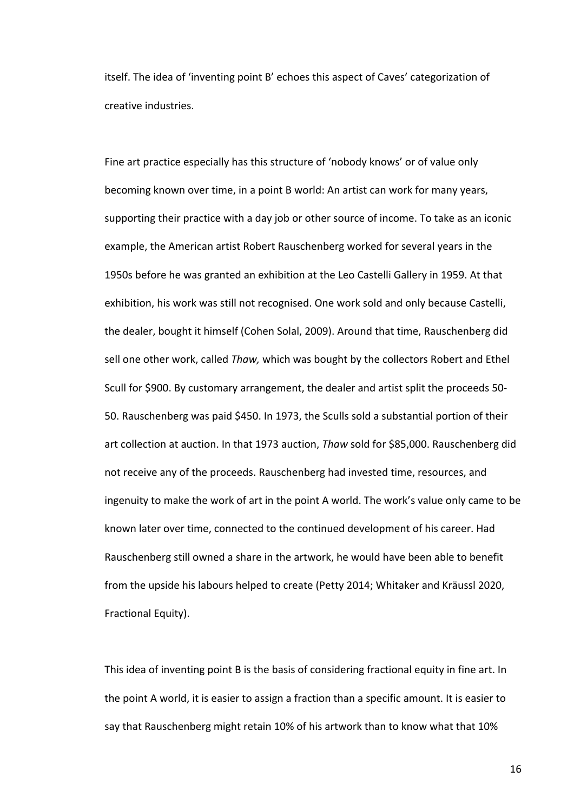itself. The idea of 'inventing point B' echoes this aspect of Caves' categorization of creative industries.

Fine art practice especially has this structure of 'nobody knows' or of value only becoming known over time, in a point B world: An artist can work for many years, supporting their practice with a day job or other source of income. To take as an iconic example, the American artist Robert Rauschenberg worked for several years in the 1950s before he was granted an exhibition at the Leo Castelli Gallery in 1959. At that exhibition, his work was still not recognised. One work sold and only because Castelli, the dealer, bought it himself (Cohen Solal, 2009). Around that time, Rauschenberg did sell one other work, called *Thaw,* which was bought by the collectors Robert and Ethel Scull for \$900. By customary arrangement, the dealer and artist split the proceeds 50- 50. Rauschenberg was paid \$450. In 1973, the Sculls sold a substantial portion of their art collection at auction. In that 1973 auction, *Thaw* sold for \$85,000. Rauschenberg did not receive any of the proceeds. Rauschenberg had invested time, resources, and ingenuity to make the work of art in the point A world. The work's value only came to be known later over time, connected to the continued development of his career. Had Rauschenberg still owned a share in the artwork, he would have been able to benefit from the upside his labours helped to create (Petty 2014; Whitaker and Kräussl 2020, Fractional Equity).

This idea of inventing point B is the basis of considering fractional equity in fine art. In the point A world, it is easier to assign a fraction than a specific amount. It is easier to say that Rauschenberg might retain 10% of his artwork than to know what that 10%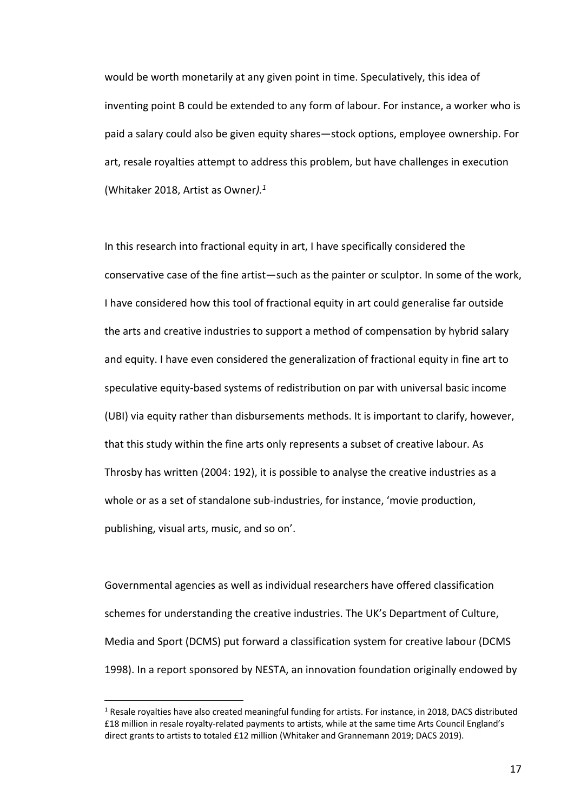would be worth monetarily at any given point in time. Speculatively, this idea of inventing point B could be extended to any form of labour. For instance, a worker who is paid a salary could also be given equity shares—stock options, employee ownership. For art, resale royalties attempt to address this problem, but have challenges in execution (Whitaker 2018, Artist as Owner*).1*

In this research into fractional equity in art, I have specifically considered the conservative case of the fine artist—such as the painter or sculptor. In some of the work, I have considered how this tool of fractional equity in art could generalise far outside the arts and creative industries to support a method of compensation by hybrid salary and equity. I have even considered the generalization of fractional equity in fine art to speculative equity-based systems of redistribution on par with universal basic income (UBI) via equity rather than disbursements methods. It is important to clarify, however, that this study within the fine arts only represents a subset of creative labour. As Throsby has written (2004: 192), it is possible to analyse the creative industries as a whole or as a set of standalone sub-industries, for instance, 'movie production, publishing, visual arts, music, and so on'.

Governmental agencies as well as individual researchers have offered classification schemes for understanding the creative industries. The UK's Department of Culture, Media and Sport (DCMS) put forward a classification system for creative labour (DCMS 1998). In a report sponsored by NESTA, an innovation foundation originally endowed by

 $1$  Resale rovalties have also created meaningful funding for artists. For instance, in 2018, DACS distributed £18 million in resale royalty-related payments to artists, while at the same time Arts Council England's direct grants to artists to totaled £12 million (Whitaker and Grannemann 2019; DACS 2019).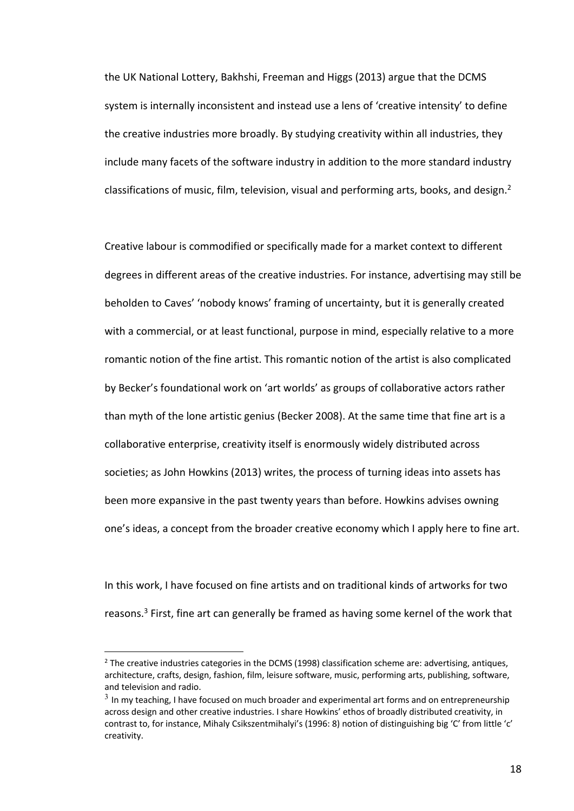the UK National Lottery, Bakhshi, Freeman and Higgs (2013) argue that the DCMS system is internally inconsistent and instead use a lens of 'creative intensity' to define the creative industries more broadly. By studying creativity within all industries, they include many facets of the software industry in addition to the more standard industry classifications of music, film, television, visual and performing arts, books, and design. $<sup>2</sup>$ </sup>

Creative labour is commodified or specifically made for a market context to different degrees in different areas of the creative industries. For instance, advertising may still be beholden to Caves' 'nobody knows' framing of uncertainty, but it is generally created with a commercial, or at least functional, purpose in mind, especially relative to a more romantic notion of the fine artist. This romantic notion of the artist is also complicated by Becker's foundational work on 'art worlds' as groups of collaborative actors rather than myth of the lone artistic genius (Becker 2008). At the same time that fine art is a collaborative enterprise, creativity itself is enormously widely distributed across societies; as John Howkins (2013) writes, the process of turning ideas into assets has been more expansive in the past twenty years than before. Howkins advises owning one's ideas, a concept from the broader creative economy which I apply here to fine art.

In this work, I have focused on fine artists and on traditional kinds of artworks for two reasons.<sup>3</sup> First, fine art can generally be framed as having some kernel of the work that

 $<sup>2</sup>$  The creative industries categories in the DCMS (1998) classification scheme are: advertising, antiques,</sup> architecture, crafts, design, fashion, film, leisure software, music, performing arts, publishing, software, and television and radio.

 $3$  In my teaching, I have focused on much broader and experimental art forms and on entrepreneurship across design and other creative industries. I share Howkins' ethos of broadly distributed creativity, in contrast to, for instance, Mihaly Csikszentmihalyi's (1996: 8) notion of distinguishing big 'C' from little 'c' creativity.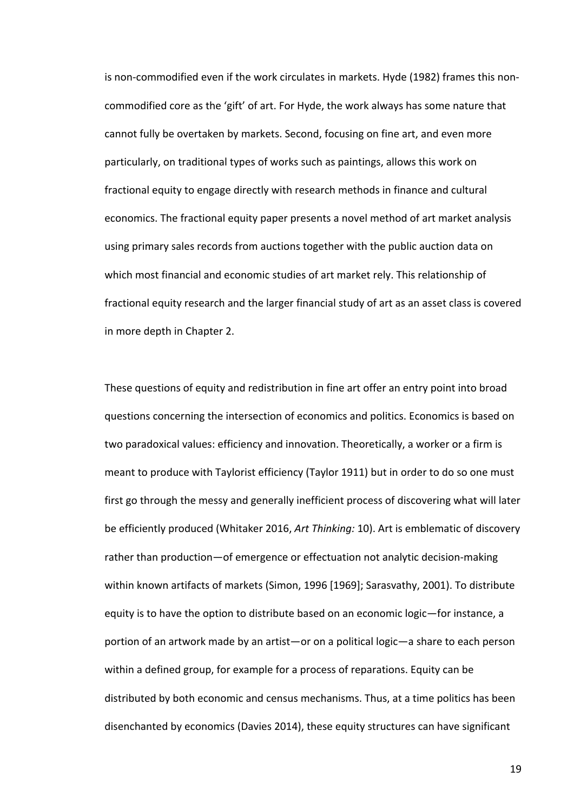is non-commodified even if the work circulates in markets. Hyde (1982) frames this noncommodified core as the 'gift' of art. For Hyde, the work always has some nature that cannot fully be overtaken by markets. Second, focusing on fine art, and even more particularly, on traditional types of works such as paintings, allows this work on fractional equity to engage directly with research methods in finance and cultural economics. The fractional equity paper presents a novel method of art market analysis using primary sales records from auctions together with the public auction data on which most financial and economic studies of art market rely. This relationship of fractional equity research and the larger financial study of art as an asset class is covered in more depth in Chapter 2.

These questions of equity and redistribution in fine art offer an entry point into broad questions concerning the intersection of economics and politics. Economics is based on two paradoxical values: efficiency and innovation. Theoretically, a worker or a firm is meant to produce with Taylorist efficiency (Taylor 1911) but in order to do so one must first go through the messy and generally inefficient process of discovering what will later be efficiently produced (Whitaker 2016, *Art Thinking:* 10). Art is emblematic of discovery rather than production—of emergence or effectuation not analytic decision-making within known artifacts of markets (Simon, 1996 [1969]; Sarasvathy, 2001). To distribute equity is to have the option to distribute based on an economic logic—for instance, a portion of an artwork made by an artist—or on a political logic—a share to each person within a defined group, for example for a process of reparations. Equity can be distributed by both economic and census mechanisms. Thus, at a time politics has been disenchanted by economics (Davies 2014), these equity structures can have significant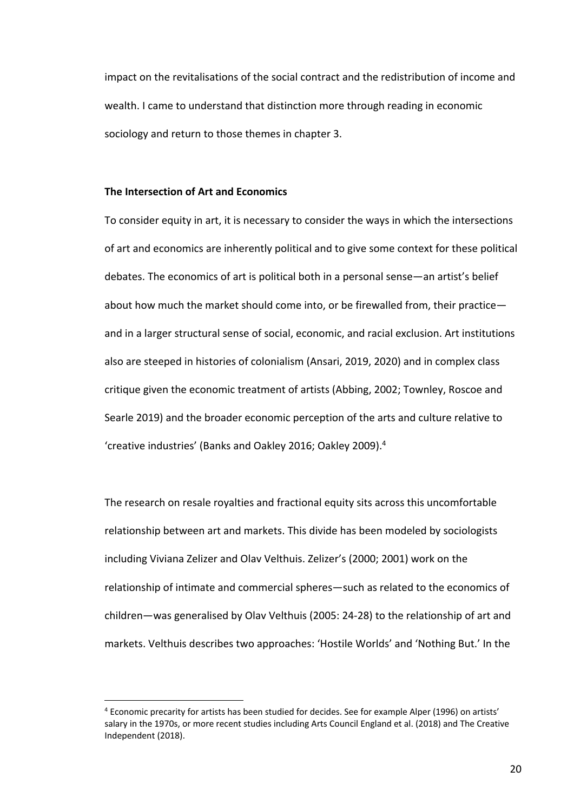impact on the revitalisations of the social contract and the redistribution of income and wealth. I came to understand that distinction more through reading in economic sociology and return to those themes in chapter 3.

### **The Intersection of Art and Economics**

To consider equity in art, it is necessary to consider the ways in which the intersections of art and economics are inherently political and to give some context for these political debates. The economics of art is political both in a personal sense—an artist's belief about how much the market should come into, or be firewalled from, their practice and in a larger structural sense of social, economic, and racial exclusion. Art institutions also are steeped in histories of colonialism (Ansari, 2019, 2020) and in complex class critique given the economic treatment of artists (Abbing, 2002; Townley, Roscoe and Searle 2019) and the broader economic perception of the arts and culture relative to 'creative industries' (Banks and Oakley 2016; Oakley 2009). 4

The research on resale royalties and fractional equity sits across this uncomfortable relationship between art and markets. This divide has been modeled by sociologists including Viviana Zelizer and Olav Velthuis. Zelizer's (2000; 2001) work on the relationship of intimate and commercial spheres—such as related to the economics of children—was generalised by Olav Velthuis (2005: 24-28) to the relationship of art and markets. Velthuis describes two approaches: 'Hostile Worlds' and 'Nothing But.' In the

<sup>4</sup> Economic precarity for artists has been studied for decides. See for example Alper (1996) on artists' salary in the 1970s, or more recent studies including Arts Council England et al. (2018) and The Creative Independent (2018).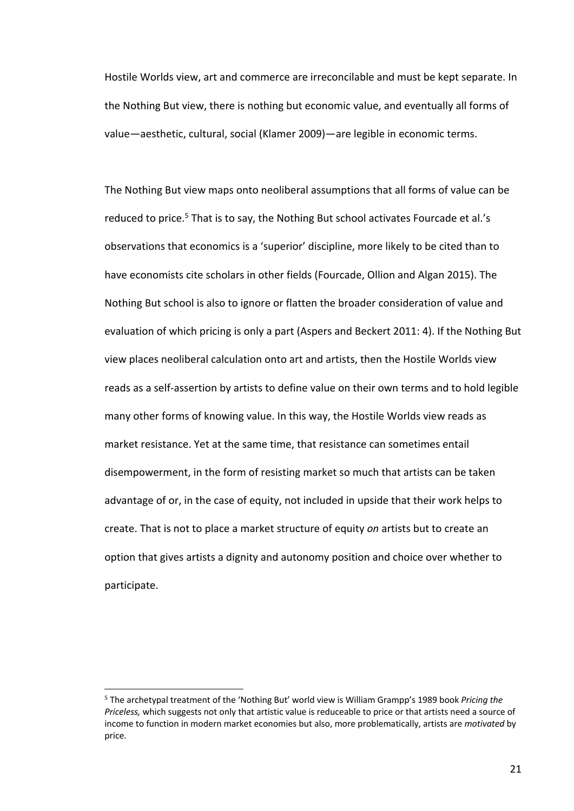Hostile Worlds view, art and commerce are irreconcilable and must be kept separate. In the Nothing But view, there is nothing but economic value, and eventually all forms of value—aesthetic, cultural, social (Klamer 2009)—are legible in economic terms.

The Nothing But view maps onto neoliberal assumptions that all forms of value can be reduced to price.<sup>5</sup> That is to say, the Nothing But school activates Fourcade et al.'s observations that economics is a 'superior' discipline, more likely to be cited than to have economists cite scholars in other fields (Fourcade, Ollion and Algan 2015). The Nothing But school is also to ignore or flatten the broader consideration of value and evaluation of which pricing is only a part (Aspers and Beckert 2011: 4). If the Nothing But view places neoliberal calculation onto art and artists, then the Hostile Worlds view reads as a self-assertion by artists to define value on their own terms and to hold legible many other forms of knowing value. In this way, the Hostile Worlds view reads as market resistance. Yet at the same time, that resistance can sometimes entail disempowerment, in the form of resisting market so much that artists can be taken advantage of or, in the case of equity, not included in upside that their work helps to create. That is not to place a market structure of equity *on* artists but to create an option that gives artists a dignity and autonomy position and choice over whether to participate.

<sup>5</sup> The archetypal treatment of the 'Nothing But' world view is William Grampp's 1989 book *Pricing the Priceless,* which suggests not only that artistic value is reduceable to price or that artists need a source of income to function in modern market economies but also, more problematically, artists are *motivated* by price.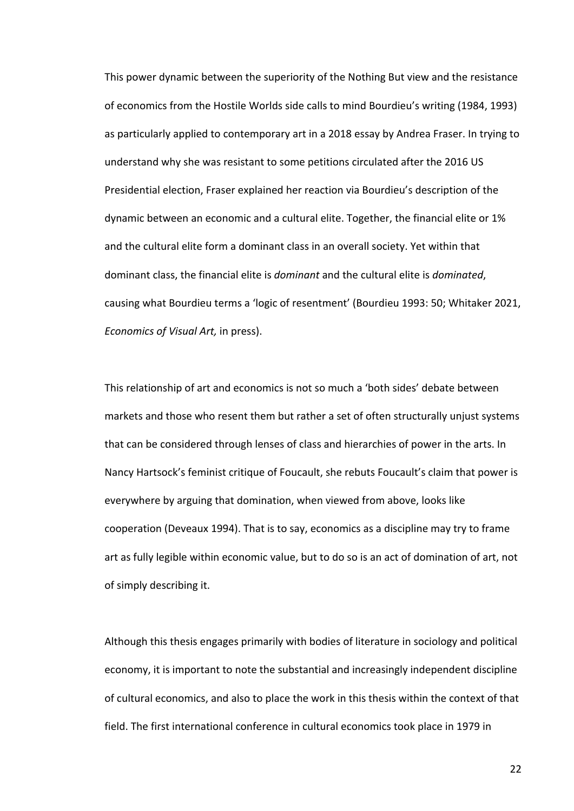This power dynamic between the superiority of the Nothing But view and the resistance of economics from the Hostile Worlds side calls to mind Bourdieu's writing (1984, 1993) as particularly applied to contemporary art in a 2018 essay by Andrea Fraser. In trying to understand why she was resistant to some petitions circulated after the 2016 US Presidential election, Fraser explained her reaction via Bourdieu's description of the dynamic between an economic and a cultural elite. Together, the financial elite or 1% and the cultural elite form a dominant class in an overall society. Yet within that dominant class, the financial elite is *dominant* and the cultural elite is *dominated*, causing what Bourdieu terms a 'logic of resentment' (Bourdieu 1993: 50; Whitaker 2021, *Economics of Visual Art,* in press).

This relationship of art and economics is not so much a 'both sides' debate between markets and those who resent them but rather a set of often structurally unjust systems that can be considered through lenses of class and hierarchies of power in the arts. In Nancy Hartsock's feminist critique of Foucault, she rebuts Foucault's claim that power is everywhere by arguing that domination, when viewed from above, looks like cooperation (Deveaux 1994). That is to say, economics as a discipline may try to frame art as fully legible within economic value, but to do so is an act of domination of art, not of simply describing it.

Although this thesis engages primarily with bodies of literature in sociology and political economy, it is important to note the substantial and increasingly independent discipline of cultural economics, and also to place the work in this thesis within the context of that field. The first international conference in cultural economics took place in 1979 in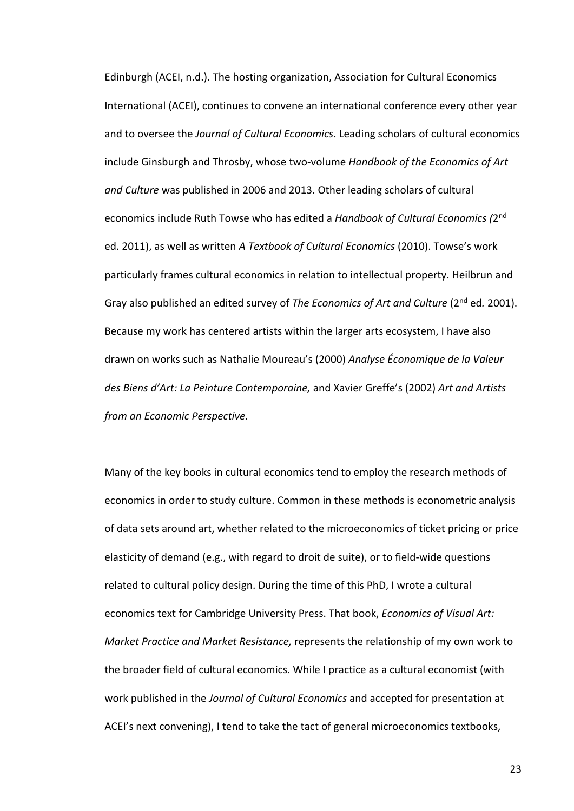Edinburgh (ACEI, n.d.). The hosting organization, Association for Cultural Economics International (ACEI), continues to convene an international conference every other year and to oversee the *Journal of Cultural Economics*. Leading scholars of cultural economics include Ginsburgh and Throsby, whose two-volume *Handbook of the Economics of Art and Culture* was published in 2006 and 2013. Other leading scholars of cultural economics include Ruth Towse who has edited a *Handbook of Cultural Economics (*2nd ed. 2011), as well as written *A Textbook of Cultural Economics* (2010). Towse's work particularly frames cultural economics in relation to intellectual property. Heilbrun and Gray also published an edited survey of *The Economics of Art and Culture* (2nd ed*.* 2001). Because my work has centered artists within the larger arts ecosystem, I have also drawn on works such as Nathalie Moureau's (2000) *Analyse Économique de la Valeur des Biens d'Art: La Peinture Contemporaine,* and Xavier Greffe's (2002) *Art and Artists from an Economic Perspective.*

Many of the key books in cultural economics tend to employ the research methods of economics in order to study culture. Common in these methods is econometric analysis of data sets around art, whether related to the microeconomics of ticket pricing or price elasticity of demand (e.g., with regard to droit de suite), or to field-wide questions related to cultural policy design. During the time of this PhD, I wrote a cultural economics text for Cambridge University Press. That book, *Economics of Visual Art: Market Practice and Market Resistance,* represents the relationship of my own work to the broader field of cultural economics. While I practice as a cultural economist (with work published in the *Journal of Cultural Economics* and accepted for presentation at ACEI's next convening), I tend to take the tact of general microeconomics textbooks,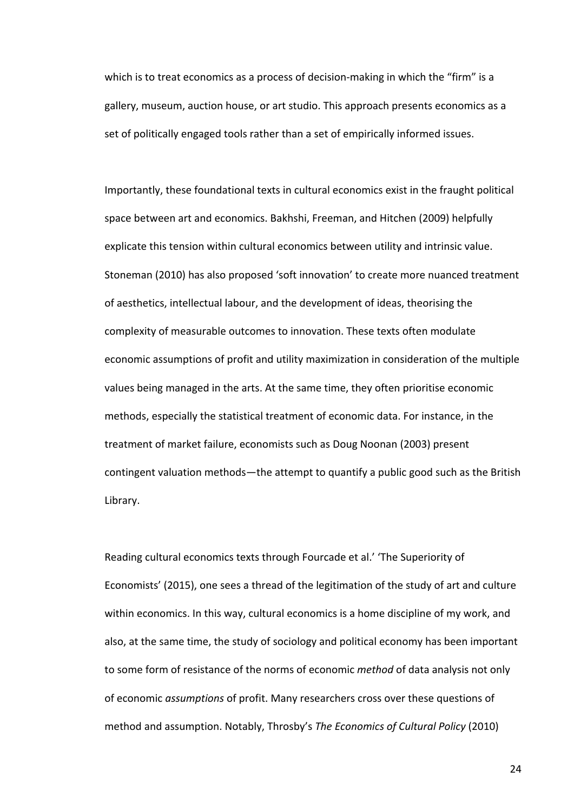which is to treat economics as a process of decision-making in which the "firm" is a gallery, museum, auction house, or art studio. This approach presents economics as a set of politically engaged tools rather than a set of empirically informed issues.

Importantly, these foundational texts in cultural economics exist in the fraught political space between art and economics. Bakhshi, Freeman, and Hitchen (2009) helpfully explicate this tension within cultural economics between utility and intrinsic value. Stoneman (2010) has also proposed 'soft innovation' to create more nuanced treatment of aesthetics, intellectual labour, and the development of ideas, theorising the complexity of measurable outcomes to innovation. These texts often modulate economic assumptions of profit and utility maximization in consideration of the multiple values being managed in the arts. At the same time, they often prioritise economic methods, especially the statistical treatment of economic data. For instance, in the treatment of market failure, economists such as Doug Noonan (2003) present contingent valuation methods—the attempt to quantify a public good such as the British Library.

Reading cultural economics texts through Fourcade et al.' 'The Superiority of Economists' (2015), one sees a thread of the legitimation of the study of art and culture within economics. In this way, cultural economics is a home discipline of my work, and also, at the same time, the study of sociology and political economy has been important to some form of resistance of the norms of economic *method* of data analysis not only of economic *assumptions* of profit. Many researchers cross over these questions of method and assumption. Notably, Throsby's *The Economics of Cultural Policy* (2010)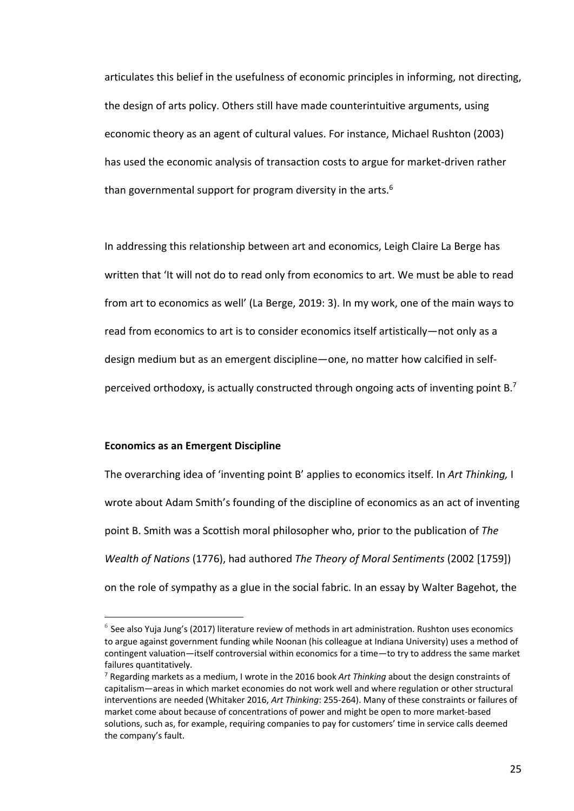articulates this belief in the usefulness of economic principles in informing, not directing, the design of arts policy. Others still have made counterintuitive arguments, using economic theory as an agent of cultural values. For instance, Michael Rushton (2003) has used the economic analysis of transaction costs to argue for market-driven rather than governmental support for program diversity in the arts.<sup>6</sup>

In addressing this relationship between art and economics, Leigh Claire La Berge has written that 'It will not do to read only from economics to art. We must be able to read from art to economics as well' (La Berge, 2019: 3). In my work, one of the main ways to read from economics to art is to consider economics itself artistically—not only as a design medium but as an emergent discipline—one, no matter how calcified in selfperceived orthodoxy, is actually constructed through ongoing acts of inventing point  $B$ <sup>7</sup>

#### **Economics as an Emergent Discipline**

The overarching idea of 'inventing point B' applies to economics itself. In *Art Thinking,* I wrote about Adam Smith's founding of the discipline of economics as an act of inventing point B. Smith was a Scottish moral philosopher who, prior to the publication of *The Wealth of Nations* (1776), had authored *The Theory of Moral Sentiments* (2002 [1759]) on the role of sympathy as a glue in the social fabric. In an essay by Walter Bagehot, the

 $6$  See also Yuja Jung's (2017) literature review of methods in art administration. Rushton uses economics to argue against government funding while Noonan (his colleague at Indiana University) uses a method of contingent valuation—itself controversial within economics for a time—to try to address the same market failures quantitatively.<br><sup>7</sup> Regarding markets as a medium, I wrote in the 2016 book *Art Thinking* about the design constraints of

capitalism—areas in which market economies do not work well and where regulation or other structural interventions are needed (Whitaker 2016, *Art Thinking*: 255-264). Many of these constraints or failures of market come about because of concentrations of power and might be open to more market-based solutions, such as, for example, requiring companies to pay for customers' time in service calls deemed the company's fault.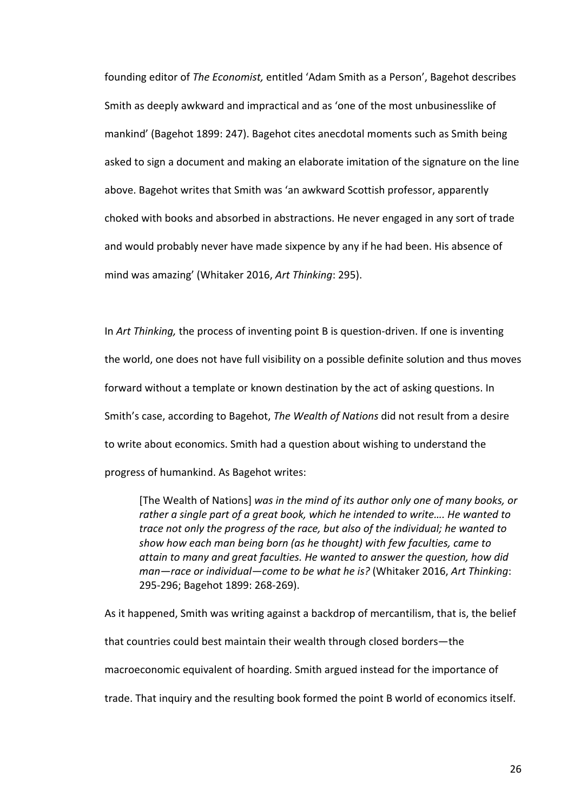founding editor of *The Economist,* entitled 'Adam Smith as a Person', Bagehot describes Smith as deeply awkward and impractical and as 'one of the most unbusinesslike of mankind' (Bagehot 1899: 247). Bagehot cites anecdotal moments such as Smith being asked to sign a document and making an elaborate imitation of the signature on the line above. Bagehot writes that Smith was 'an awkward Scottish professor, apparently choked with books and absorbed in abstractions. He never engaged in any sort of trade and would probably never have made sixpence by any if he had been. His absence of mind was amazing' (Whitaker 2016, *Art Thinking*: 295).

In *Art Thinking,* the process of inventing point B is question-driven. If one is inventing the world, one does not have full visibility on a possible definite solution and thus moves forward without a template or known destination by the act of asking questions. In Smith's case, according to Bagehot, *The Wealth of Nations* did not result from a desire to write about economics. Smith had a question about wishing to understand the progress of humankind. As Bagehot writes:

[The Wealth of Nations] *was in the mind of its author only one of many books, or rather a single part of a great book, which he intended to write…. He wanted to trace not only the progress of the race, but also of the individual; he wanted to show how each man being born (as he thought) with few faculties, came to attain to many and great faculties. He wanted to answer the question, how did man—race or individual—come to be what he is?* (Whitaker 2016, *Art Thinking*: 295-296; Bagehot 1899: 268-269).

As it happened, Smith was writing against a backdrop of mercantilism, that is, the belief that countries could best maintain their wealth through closed borders—the macroeconomic equivalent of hoarding. Smith argued instead for the importance of trade. That inquiry and the resulting book formed the point B world of economics itself.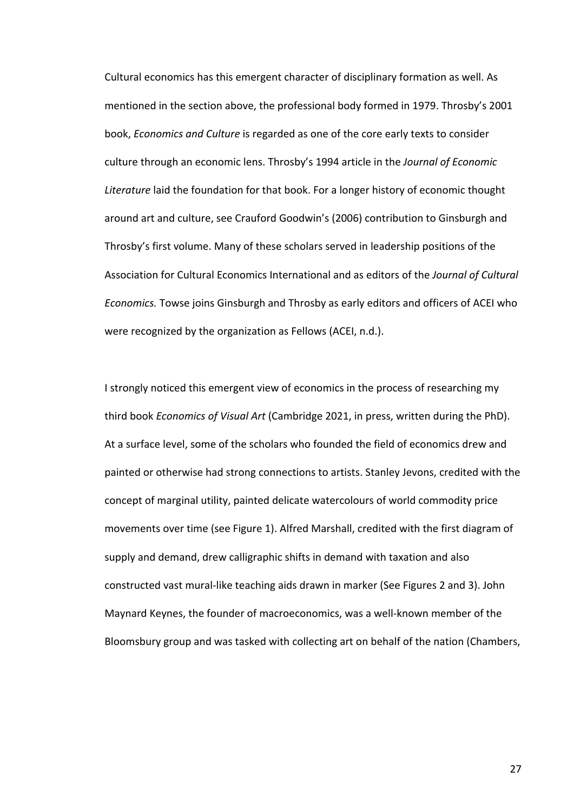Cultural economics has this emergent character of disciplinary formation as well. As mentioned in the section above, the professional body formed in 1979. Throsby's 2001 book, *Economics and Culture* is regarded as one of the core early texts to consider culture through an economic lens. Throsby's 1994 article in the *Journal of Economic Literature* laid the foundation for that book. For a longer history of economic thought around art and culture, see Crauford Goodwin's (2006) contribution to Ginsburgh and Throsby's first volume. Many of these scholars served in leadership positions of the Association for Cultural Economics International and as editors of the *Journal of Cultural Economics.* Towse joins Ginsburgh and Throsby as early editors and officers of ACEI who were recognized by the organization as Fellows (ACEI, n.d.).

I strongly noticed this emergent view of economics in the process of researching my third book *Economics of Visual Art* (Cambridge 2021, in press, written during the PhD). At a surface level, some of the scholars who founded the field of economics drew and painted or otherwise had strong connections to artists. Stanley Jevons, credited with the concept of marginal utility, painted delicate watercolours of world commodity price movements over time (see Figure 1). Alfred Marshall, credited with the first diagram of supply and demand, drew calligraphic shifts in demand with taxation and also constructed vast mural-like teaching aids drawn in marker (See Figures 2 and 3). John Maynard Keynes, the founder of macroeconomics, was a well-known member of the Bloomsbury group and was tasked with collecting art on behalf of the nation (Chambers,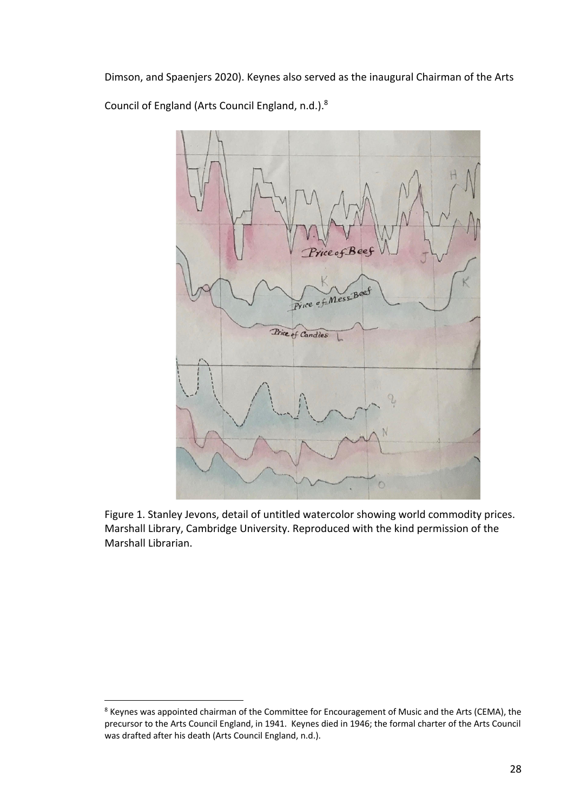Dimson, and Spaenjers 2020). Keynes also served as the inaugural Chairman of the Arts Council of England (Arts Council England, n.d.).8



Figure 1. Stanley Jevons, detail of untitled watercolor showing world commodity prices. Marshall Library, Cambridge University. Reproduced with the kind permission of the Marshall Librarian.

<sup>&</sup>lt;sup>8</sup> Keynes was appointed chairman of the Committee for Encouragement of Music and the Arts (CEMA), the precursor to the Arts Council England, in 1941. Keynes died in 1946; the formal charter of the Arts Council was drafted after his death (Arts Council England, n.d.).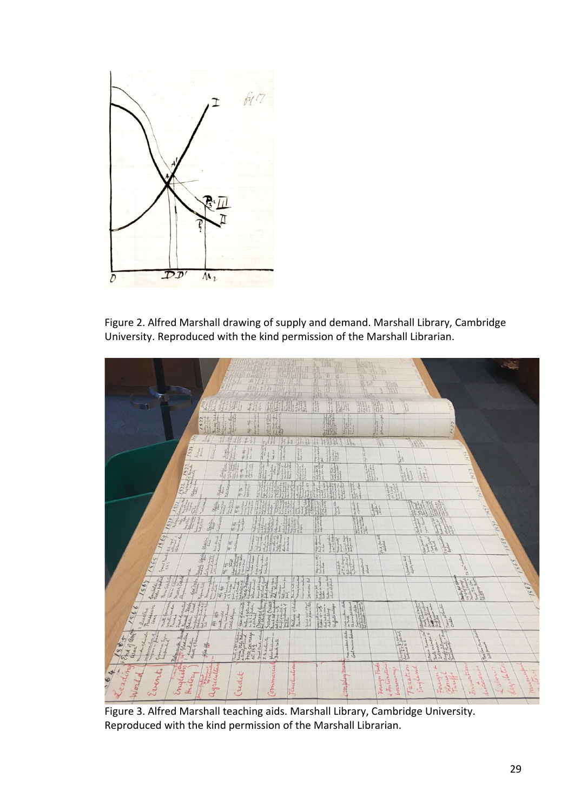

Figure 2. Alfred Marshall drawing of supply and demand. Marshall Library, Cambridge University. Reproduced with the kind permission of the Marshall Librarian.



Figure 3. Alfred Marshall teaching aids. Marshall Library, Cambridge University. Reproduced with the kind permission of the Marshall Librarian.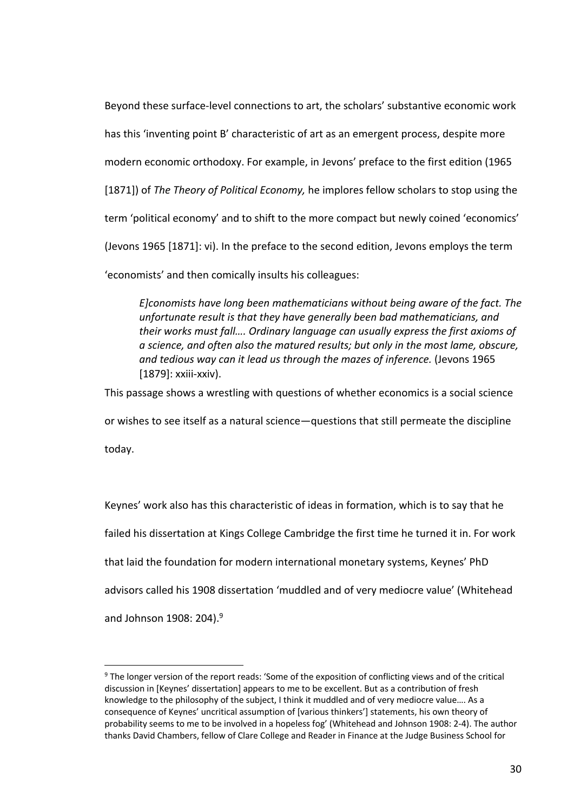Beyond these surface-level connections to art, the scholars' substantive economic work has this 'inventing point B' characteristic of art as an emergent process, despite more modern economic orthodoxy. For example, in Jevons' preface to the first edition (1965 [1871]) of *The Theory of Political Economy,* he implores fellow scholars to stop using the term 'political economy' and to shift to the more compact but newly coined 'economics' (Jevons 1965 [1871]: vi). In the preface to the second edition, Jevons employs the term

'economists' and then comically insults his colleagues:

*E]conomists have long been mathematicians without being aware of the fact. The unfortunate result is that they have generally been bad mathematicians, and their works must fall…. Ordinary language can usually express the first axioms of a science, and often also the matured results; but only in the most lame, obscure, and tedious way can it lead us through the mazes of inference.* (Jevons 1965 [1879]: xxiii-xxiv).

This passage shows a wrestling with questions of whether economics is a social science

or wishes to see itself as a natural science—questions that still permeate the discipline

today.

Keynes' work also has this characteristic of ideas in formation, which is to say that he failed his dissertation at Kings College Cambridge the first time he turned it in. For work that laid the foundation for modern international monetary systems, Keynes' PhD advisors called his 1908 dissertation 'muddled and of very mediocre value' (Whitehead and Johnson 1908: 204).<sup>9</sup>

<sup>9</sup> The longer version of the report reads: 'Some of the exposition of conflicting views and of the critical discussion in [Keynes' dissertation] appears to me to be excellent. But as a contribution of fresh knowledge to the philosophy of the subject, I think it muddled and of very mediocre value…. As a consequence of Keynes' uncritical assumption of [various thinkers'] statements, his own theory of probability seems to me to be involved in a hopeless fog' (Whitehead and Johnson 1908: 2-4). The author thanks David Chambers, fellow of Clare College and Reader in Finance at the Judge Business School for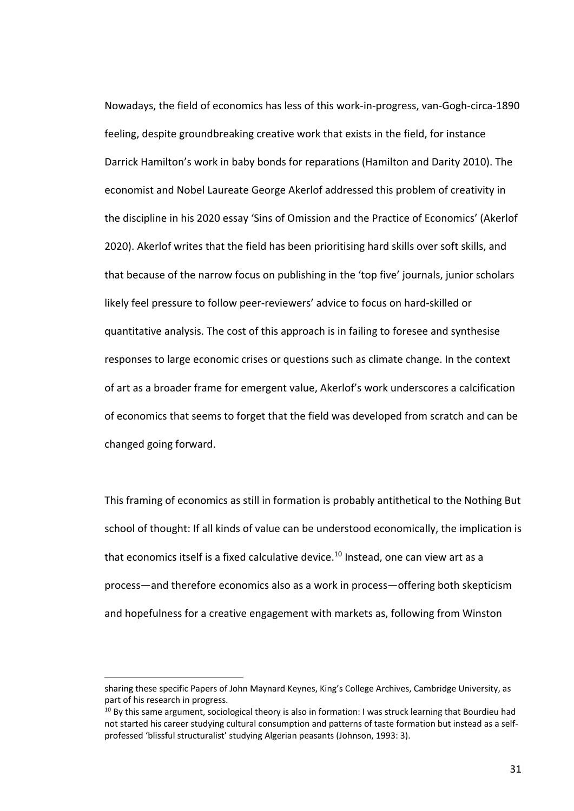Nowadays, the field of economics has less of this work-in-progress, van-Gogh-circa-1890 feeling, despite groundbreaking creative work that exists in the field, for instance Darrick Hamilton's work in baby bonds for reparations (Hamilton and Darity 2010). The economist and Nobel Laureate George Akerlof addressed this problem of creativity in the discipline in his 2020 essay 'Sins of Omission and the Practice of Economics' (Akerlof 2020). Akerlof writes that the field has been prioritising hard skills over soft skills, and that because of the narrow focus on publishing in the 'top five' journals, junior scholars likely feel pressure to follow peer-reviewers' advice to focus on hard-skilled or quantitative analysis. The cost of this approach is in failing to foresee and synthesise responses to large economic crises or questions such as climate change. In the context of art as a broader frame for emergent value, Akerlof's work underscores a calcification of economics that seems to forget that the field was developed from scratch and can be changed going forward.

This framing of economics as still in formation is probably antithetical to the Nothing But school of thought: If all kinds of value can be understood economically, the implication is that economics itself is a fixed calculative device.<sup>10</sup> Instead, one can view art as a process—and therefore economics also as a work in process—offering both skepticism and hopefulness for a creative engagement with markets as, following from Winston

sharing these specific Papers of John Maynard Keynes, King's College Archives, Cambridge University, as part of his research in progress.

 $10$  By this same argument, sociological theory is also in formation: I was struck learning that Bourdieu had not started his career studying cultural consumption and patterns of taste formation but instead as a selfprofessed 'blissful structuralist' studying Algerian peasants (Johnson, 1993: 3).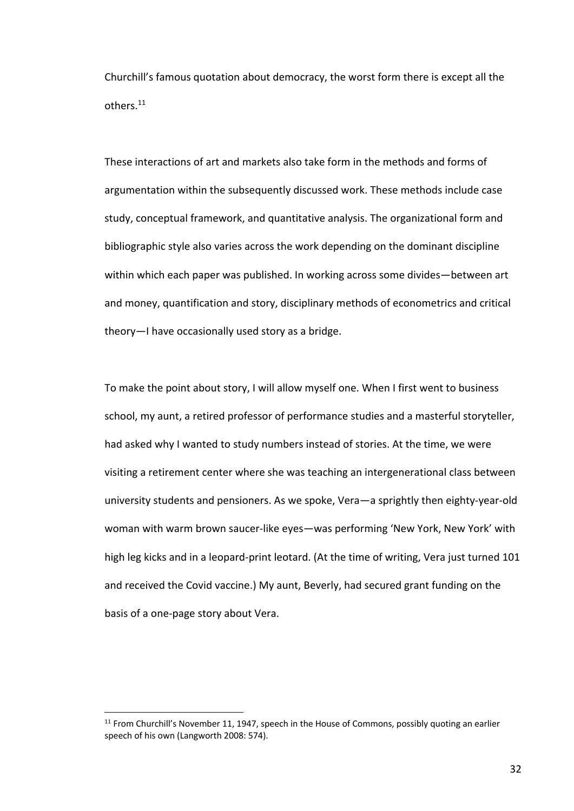Churchill's famous quotation about democracy, the worst form there is except all the others.11

These interactions of art and markets also take form in the methods and forms of argumentation within the subsequently discussed work. These methods include case study, conceptual framework, and quantitative analysis. The organizational form and bibliographic style also varies across the work depending on the dominant discipline within which each paper was published. In working across some divides—between art and money, quantification and story, disciplinary methods of econometrics and critical theory—I have occasionally used story as a bridge.

To make the point about story, I will allow myself one. When I first went to business school, my aunt, a retired professor of performance studies and a masterful storyteller, had asked why I wanted to study numbers instead of stories. At the time, we were visiting a retirement center where she was teaching an intergenerational class between university students and pensioners. As we spoke, Vera—a sprightly then eighty-year-old woman with warm brown saucer-like eyes—was performing 'New York, New York' with high leg kicks and in a leopard-print leotard. (At the time of writing, Vera just turned 101 and received the Covid vaccine.) My aunt, Beverly, had secured grant funding on the basis of a one-page story about Vera.

 $11$  From Churchill's November 11, 1947, speech in the House of Commons, possibly quoting an earlier speech of his own (Langworth 2008: 574).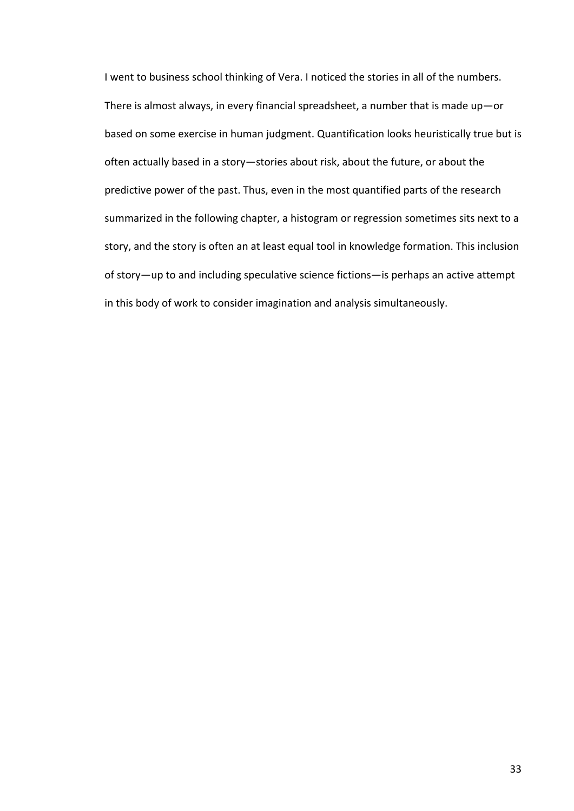I went to business school thinking of Vera. I noticed the stories in all of the numbers. There is almost always, in every financial spreadsheet, a number that is made up—or based on some exercise in human judgment. Quantification looks heuristically true but is often actually based in a story—stories about risk, about the future, or about the predictive power of the past. Thus, even in the most quantified parts of the research summarized in the following chapter, a histogram or regression sometimes sits next to a story, and the story is often an at least equal tool in knowledge formation. This inclusion of story—up to and including speculative science fictions—is perhaps an active attempt in this body of work to consider imagination and analysis simultaneously.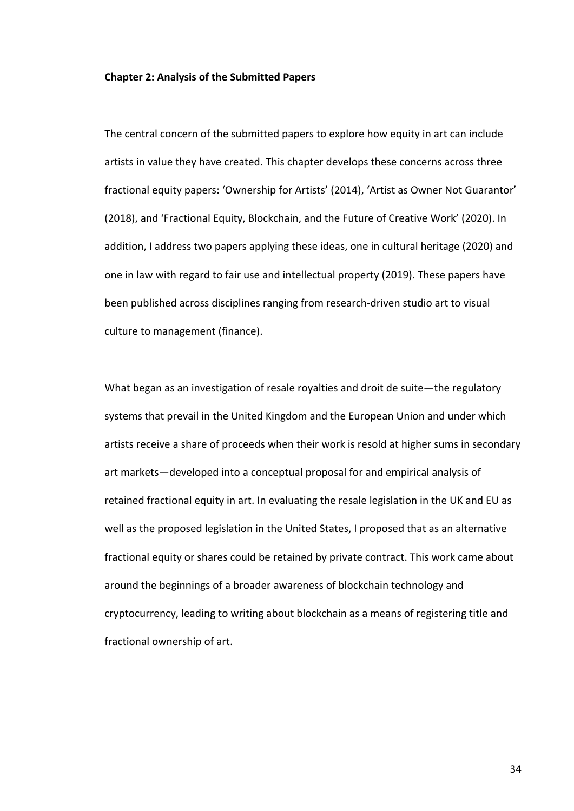### **Chapter 2: Analysis of the Submitted Papers**

The central concern of the submitted papers to explore how equity in art can include artists in value they have created. This chapter develops these concerns across three fractional equity papers: 'Ownership for Artists' (2014), 'Artist as Owner Not Guarantor' (2018), and 'Fractional Equity, Blockchain, and the Future of Creative Work' (2020). In addition, I address two papers applying these ideas, one in cultural heritage (2020) and one in law with regard to fair use and intellectual property (2019). These papers have been published across disciplines ranging from research-driven studio art to visual culture to management (finance).

What began as an investigation of resale royalties and droit de suite—the regulatory systems that prevail in the United Kingdom and the European Union and under which artists receive a share of proceeds when their work is resold at higher sums in secondary art markets—developed into a conceptual proposal for and empirical analysis of retained fractional equity in art. In evaluating the resale legislation in the UK and EU as well as the proposed legislation in the United States, I proposed that as an alternative fractional equity or shares could be retained by private contract. This work came about around the beginnings of a broader awareness of blockchain technology and cryptocurrency, leading to writing about blockchain as a means of registering title and fractional ownership of art.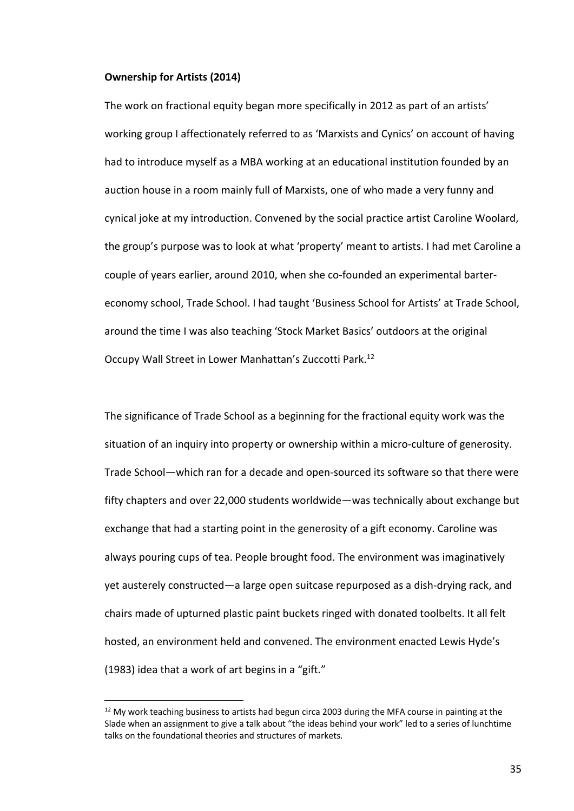### **Ownership for Artists (2014)**

The work on fractional equity began more specifically in 2012 as part of an artists' working group I affectionately referred to as 'Marxists and Cynics' on account of having had to introduce myself as a MBA working at an educational institution founded by an auction house in a room mainly full of Marxists, one of who made a very funny and cynical joke at my introduction. Convened by the social practice artist Caroline Woolard, the group's purpose was to look at what 'property' meant to artists. I had met Caroline a couple of years earlier, around 2010, when she co-founded an experimental bartereconomy school, Trade School. I had taught 'Business School for Artists' at Trade School, around the time I was also teaching 'Stock Market Basics' outdoors at the original Occupy Wall Street in Lower Manhattan's Zuccotti Park.12

The significance of Trade School as a beginning for the fractional equity work was the situation of an inquiry into property or ownership within a micro-culture of generosity. Trade School—which ran for a decade and open-sourced its software so that there were fifty chapters and over 22,000 students worldwide—was technically about exchange but exchange that had a starting point in the generosity of a gift economy. Caroline was always pouring cups of tea. People brought food. The environment was imaginatively yet austerely constructed—a large open suitcase repurposed as a dish-drying rack, and chairs made of upturned plastic paint buckets ringed with donated toolbelts. It all felt hosted, an environment held and convened. The environment enacted Lewis Hyde's (1983) idea that a work of art begins in a "gift."

 $12$  My work teaching business to artists had begun circa 2003 during the MFA course in painting at the Slade when an assignment to give a talk about "the ideas behind your work" led to a series of lunchtime talks on the foundational theories and structures of markets.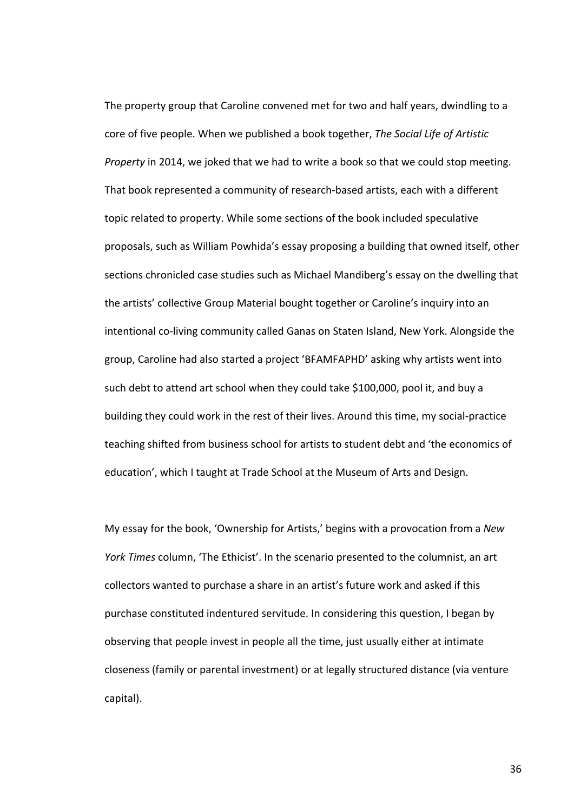The property group that Caroline convened met for two and half years, dwindling to a core of five people. When we published a book together, *The Social Life of Artistic Property* in 2014, we joked that we had to write a book so that we could stop meeting. That book represented a community of research-based artists, each with a different topic related to property. While some sections of the book included speculative proposals, such as William Powhida's essay proposing a building that owned itself, other sections chronicled case studies such as Michael Mandiberg's essay on the dwelling that the artists' collective Group Material bought together or Caroline's inquiry into an intentional co-living community called Ganas on Staten Island, New York. Alongside the group, Caroline had also started a project 'BFAMFAPHD' asking why artists went into such debt to attend art school when they could take \$100,000, pool it, and buy a building they could work in the rest of their lives. Around this time, my social-practice teaching shifted from business school for artists to student debt and 'the economics of education', which I taught at Trade School at the Museum of Arts and Design.

My essay for the book, 'Ownership for Artists,' begins with a provocation from a *New York Times* column, 'The Ethicist'. In the scenario presented to the columnist, an art collectors wanted to purchase a share in an artist's future work and asked if this purchase constituted indentured servitude. In considering this question, I began by observing that people invest in people all the time, just usually either at intimate closeness (family or parental investment) or at legally structured distance (via venture capital).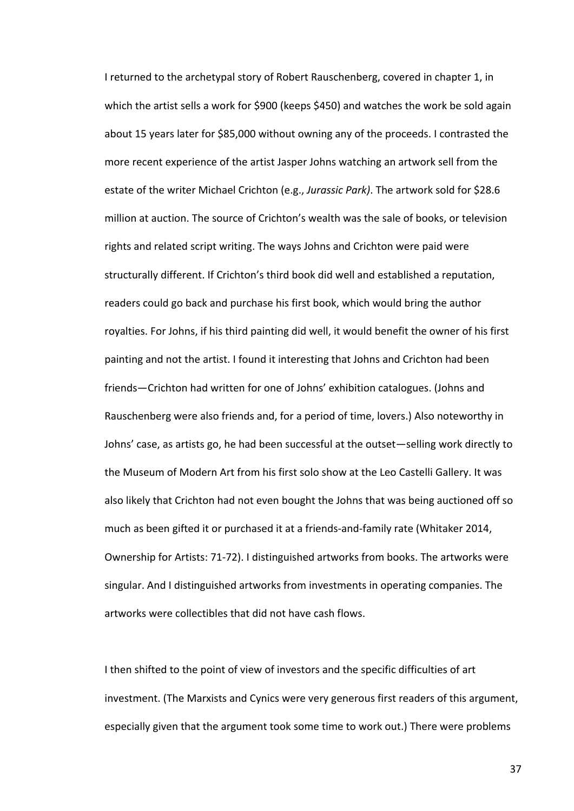I returned to the archetypal story of Robert Rauschenberg, covered in chapter 1, in which the artist sells a work for \$900 (keeps \$450) and watches the work be sold again about 15 years later for \$85,000 without owning any of the proceeds. I contrasted the more recent experience of the artist Jasper Johns watching an artwork sell from the estate of the writer Michael Crichton (e.g., *Jurassic Park)*. The artwork sold for \$28.6 million at auction. The source of Crichton's wealth was the sale of books, or television rights and related script writing. The ways Johns and Crichton were paid were structurally different. If Crichton's third book did well and established a reputation, readers could go back and purchase his first book, which would bring the author royalties. For Johns, if his third painting did well, it would benefit the owner of his first painting and not the artist. I found it interesting that Johns and Crichton had been friends—Crichton had written for one of Johns' exhibition catalogues. (Johns and Rauschenberg were also friends and, for a period of time, lovers.) Also noteworthy in Johns' case, as artists go, he had been successful at the outset—selling work directly to the Museum of Modern Art from his first solo show at the Leo Castelli Gallery. It was also likely that Crichton had not even bought the Johns that was being auctioned off so much as been gifted it or purchased it at a friends-and-family rate (Whitaker 2014, Ownership for Artists: 71-72). I distinguished artworks from books. The artworks were singular. And I distinguished artworks from investments in operating companies. The artworks were collectibles that did not have cash flows.

I then shifted to the point of view of investors and the specific difficulties of art investment. (The Marxists and Cynics were very generous first readers of this argument, especially given that the argument took some time to work out.) There were problems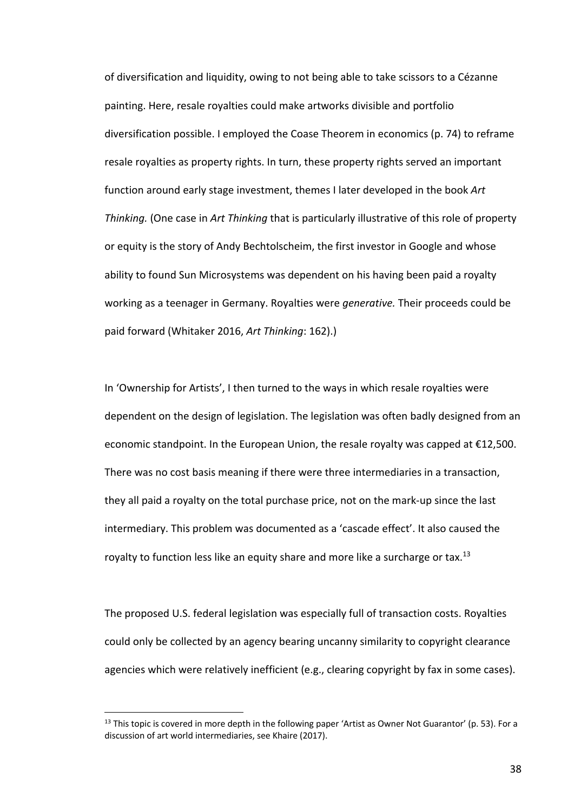of diversification and liquidity, owing to not being able to take scissors to a Cézanne painting. Here, resale royalties could make artworks divisible and portfolio diversification possible. I employed the Coase Theorem in economics (p. 74) to reframe resale royalties as property rights. In turn, these property rights served an important function around early stage investment, themes I later developed in the book *Art Thinking.* (One case in *Art Thinking* that is particularly illustrative of this role of property or equity is the story of Andy Bechtolscheim, the first investor in Google and whose ability to found Sun Microsystems was dependent on his having been paid a royalty working as a teenager in Germany. Royalties were *generative.* Their proceeds could be paid forward (Whitaker 2016, *Art Thinking*: 162).)

In 'Ownership for Artists', I then turned to the ways in which resale royalties were dependent on the design of legislation. The legislation was often badly designed from an economic standpoint. In the European Union, the resale royalty was capped at €12,500. There was no cost basis meaning if there were three intermediaries in a transaction, they all paid a royalty on the total purchase price, not on the mark-up since the last intermediary. This problem was documented as a 'cascade effect'. It also caused the royalty to function less like an equity share and more like a surcharge or tax.<sup>13</sup>

The proposed U.S. federal legislation was especially full of transaction costs. Royalties could only be collected by an agency bearing uncanny similarity to copyright clearance agencies which were relatively inefficient (e.g., clearing copyright by fax in some cases).

<sup>&</sup>lt;sup>13</sup> This topic is covered in more depth in the following paper 'Artist as Owner Not Guarantor' (p. 53). For a discussion of art world intermediaries, see Khaire (2017).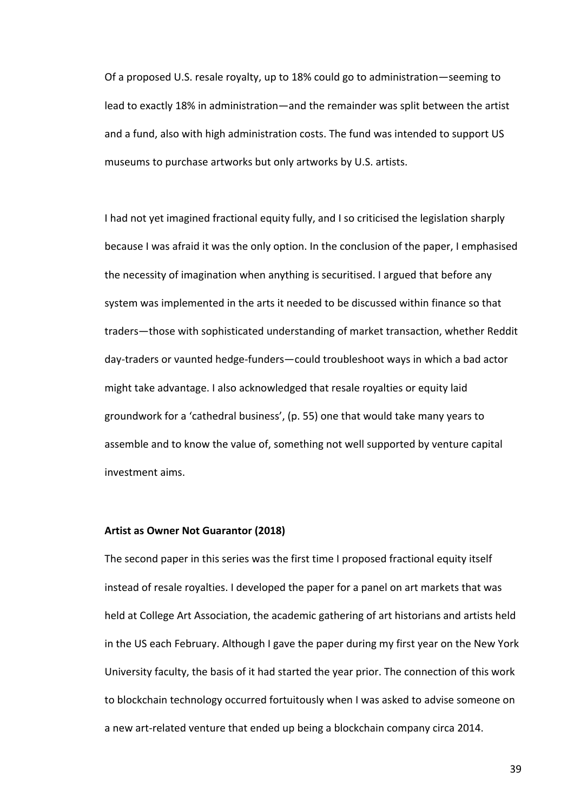Of a proposed U.S. resale royalty, up to 18% could go to administration—seeming to lead to exactly 18% in administration—and the remainder was split between the artist and a fund, also with high administration costs. The fund was intended to support US museums to purchase artworks but only artworks by U.S. artists.

I had not yet imagined fractional equity fully, and I so criticised the legislation sharply because I was afraid it was the only option. In the conclusion of the paper, I emphasised the necessity of imagination when anything is securitised. I argued that before any system was implemented in the arts it needed to be discussed within finance so that traders—those with sophisticated understanding of market transaction, whether Reddit day-traders or vaunted hedge-funders—could troubleshoot ways in which a bad actor might take advantage. I also acknowledged that resale royalties or equity laid groundwork for a 'cathedral business', (p. 55) one that would take many years to assemble and to know the value of, something not well supported by venture capital investment aims.

## **Artist as Owner Not Guarantor (2018)**

The second paper in this series was the first time I proposed fractional equity itself instead of resale royalties. I developed the paper for a panel on art markets that was held at College Art Association, the academic gathering of art historians and artists held in the US each February. Although I gave the paper during my first year on the New York University faculty, the basis of it had started the year prior. The connection of this work to blockchain technology occurred fortuitously when I was asked to advise someone on a new art-related venture that ended up being a blockchain company circa 2014.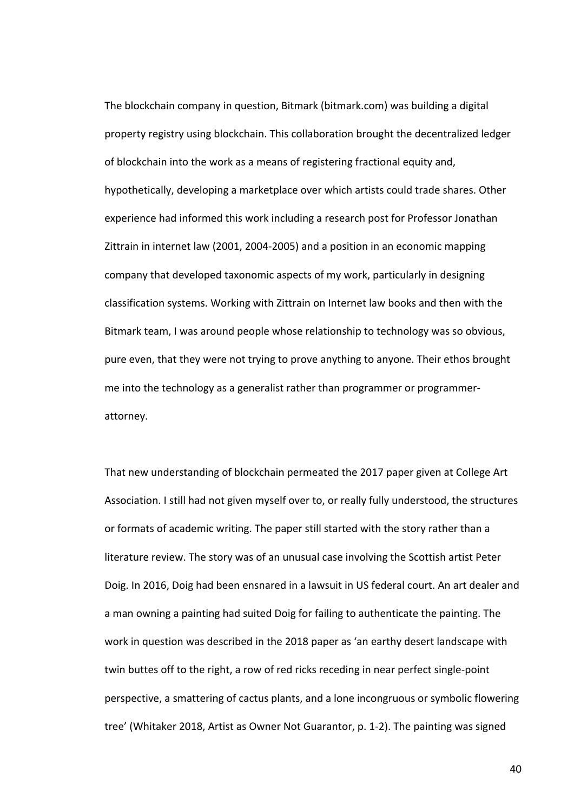The blockchain company in question, Bitmark (bitmark.com) was building a digital property registry using blockchain. This collaboration brought the decentralized ledger of blockchain into the work as a means of registering fractional equity and, hypothetically, developing a marketplace over which artists could trade shares. Other experience had informed this work including a research post for Professor Jonathan Zittrain in internet law (2001, 2004-2005) and a position in an economic mapping company that developed taxonomic aspects of my work, particularly in designing classification systems. Working with Zittrain on Internet law books and then with the Bitmark team, I was around people whose relationship to technology was so obvious, pure even, that they were not trying to prove anything to anyone. Their ethos brought me into the technology as a generalist rather than programmer or programmerattorney.

That new understanding of blockchain permeated the 2017 paper given at College Art Association. I still had not given myself over to, or really fully understood, the structures or formats of academic writing. The paper still started with the story rather than a literature review. The story was of an unusual case involving the Scottish artist Peter Doig. In 2016, Doig had been ensnared in a lawsuit in US federal court. An art dealer and a man owning a painting had suited Doig for failing to authenticate the painting. The work in question was described in the 2018 paper as 'an earthy desert landscape with twin buttes off to the right, a row of red ricks receding in near perfect single-point perspective, a smattering of cactus plants, and a lone incongruous or symbolic flowering tree' (Whitaker 2018, Artist as Owner Not Guarantor, p. 1-2). The painting was signed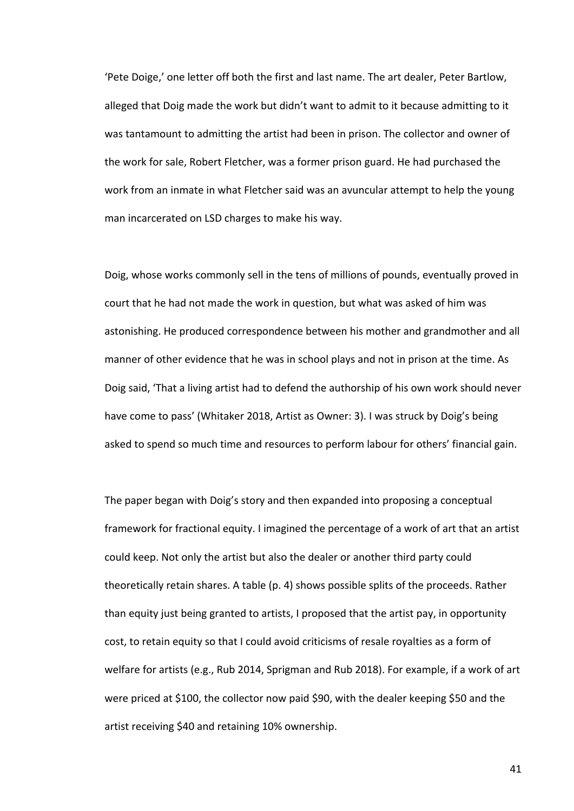'Pete Doige,' one letter off both the first and last name. The art dealer, Peter Bartlow, alleged that Doig made the work but didn't want to admit to it because admitting to it was tantamount to admitting the artist had been in prison. The collector and owner of the work for sale, Robert Fletcher, was a former prison guard. He had purchased the work from an inmate in what Fletcher said was an avuncular attempt to help the young man incarcerated on LSD charges to make his way.

Doig, whose works commonly sell in the tens of millions of pounds, eventually proved in court that he had not made the work in question, but what was asked of him was astonishing. He produced correspondence between his mother and grandmother and all manner of other evidence that he was in school plays and not in prison at the time. As Doig said, 'That a living artist had to defend the authorship of his own work should never have come to pass' (Whitaker 2018, Artist as Owner: 3). I was struck by Doig's being asked to spend so much time and resources to perform labour for others' financial gain.

The paper began with Doig's story and then expanded into proposing a conceptual framework for fractional equity. I imagined the percentage of a work of art that an artist could keep. Not only the artist but also the dealer or another third party could theoretically retain shares. A table (p. 4) shows possible splits of the proceeds. Rather than equity just being granted to artists, I proposed that the artist pay, in opportunity cost, to retain equity so that I could avoid criticisms of resale royalties as a form of welfare for artists (e.g., Rub 2014, Sprigman and Rub 2018). For example, if a work of art were priced at \$100, the collector now paid \$90, with the dealer keeping \$50 and the artist receiving \$40 and retaining 10% ownership.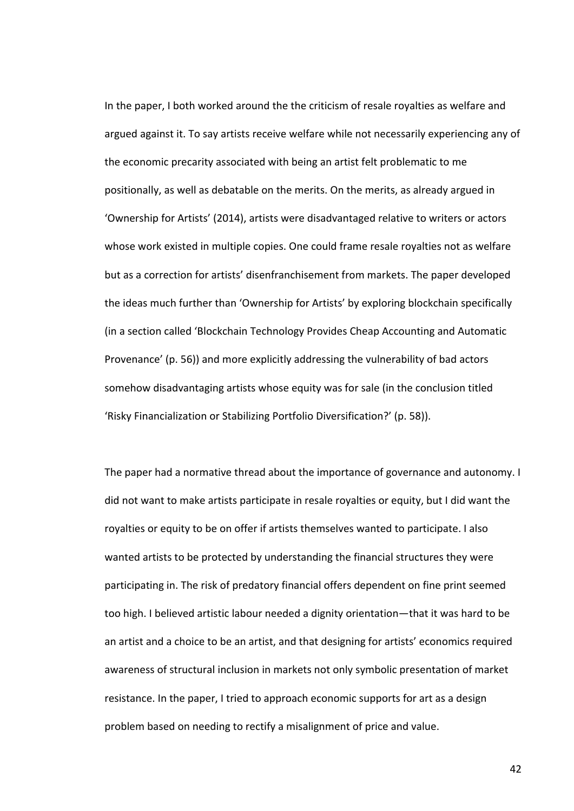In the paper, I both worked around the the criticism of resale royalties as welfare and argued against it. To say artists receive welfare while not necessarily experiencing any of the economic precarity associated with being an artist felt problematic to me positionally, as well as debatable on the merits. On the merits, as already argued in 'Ownership for Artists' (2014), artists were disadvantaged relative to writers or actors whose work existed in multiple copies. One could frame resale royalties not as welfare but as a correction for artists' disenfranchisement from markets. The paper developed the ideas much further than 'Ownership for Artists' by exploring blockchain specifically (in a section called 'Blockchain Technology Provides Cheap Accounting and Automatic Provenance' (p. 56)) and more explicitly addressing the vulnerability of bad actors somehow disadvantaging artists whose equity was for sale (in the conclusion titled 'Risky Financialization or Stabilizing Portfolio Diversification?' (p. 58)).

The paper had a normative thread about the importance of governance and autonomy. I did not want to make artists participate in resale royalties or equity, but I did want the royalties or equity to be on offer if artists themselves wanted to participate. I also wanted artists to be protected by understanding the financial structures they were participating in. The risk of predatory financial offers dependent on fine print seemed too high. I believed artistic labour needed a dignity orientation—that it was hard to be an artist and a choice to be an artist, and that designing for artists' economics required awareness of structural inclusion in markets not only symbolic presentation of market resistance. In the paper, I tried to approach economic supports for art as a design problem based on needing to rectify a misalignment of price and value.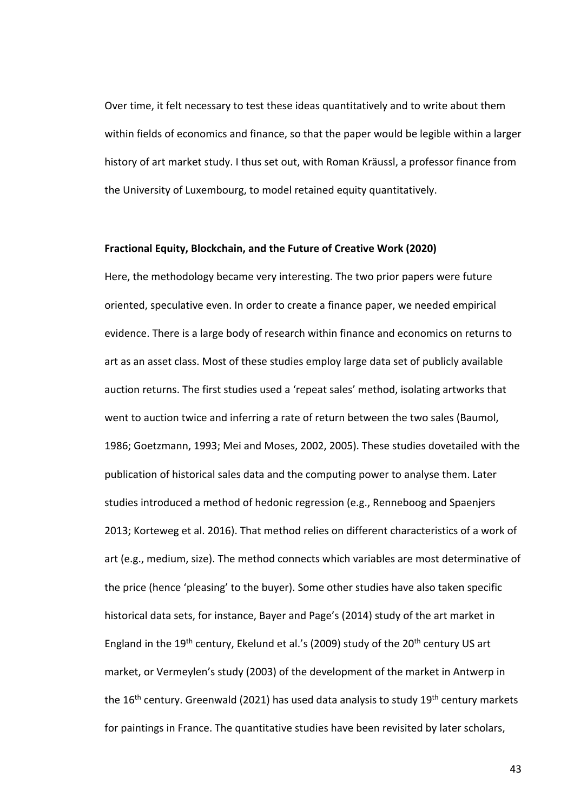Over time, it felt necessary to test these ideas quantitatively and to write about them within fields of economics and finance, so that the paper would be legible within a larger history of art market study. I thus set out, with Roman Kräussl, a professor finance from the University of Luxembourg, to model retained equity quantitatively.

## **Fractional Equity, Blockchain, and the Future of Creative Work (2020)**

Here, the methodology became very interesting. The two prior papers were future oriented, speculative even. In order to create a finance paper, we needed empirical evidence. There is a large body of research within finance and economics on returns to art as an asset class. Most of these studies employ large data set of publicly available auction returns. The first studies used a 'repeat sales' method, isolating artworks that went to auction twice and inferring a rate of return between the two sales (Baumol, 1986; Goetzmann, 1993; Mei and Moses, 2002, 2005). These studies dovetailed with the publication of historical sales data and the computing power to analyse them. Later studies introduced a method of hedonic regression (e.g., Renneboog and Spaenjers 2013; Korteweg et al. 2016). That method relies on different characteristics of a work of art (e.g., medium, size). The method connects which variables are most determinative of the price (hence 'pleasing' to the buyer). Some other studies have also taken specific historical data sets, for instance, Bayer and Page's (2014) study of the art market in England in the 19<sup>th</sup> century, Ekelund et al.'s (2009) study of the 20<sup>th</sup> century US art market, or Vermeylen's study (2003) of the development of the market in Antwerp in the 16<sup>th</sup> century. Greenwald (2021) has used data analysis to study 19<sup>th</sup> century markets for paintings in France. The quantitative studies have been revisited by later scholars,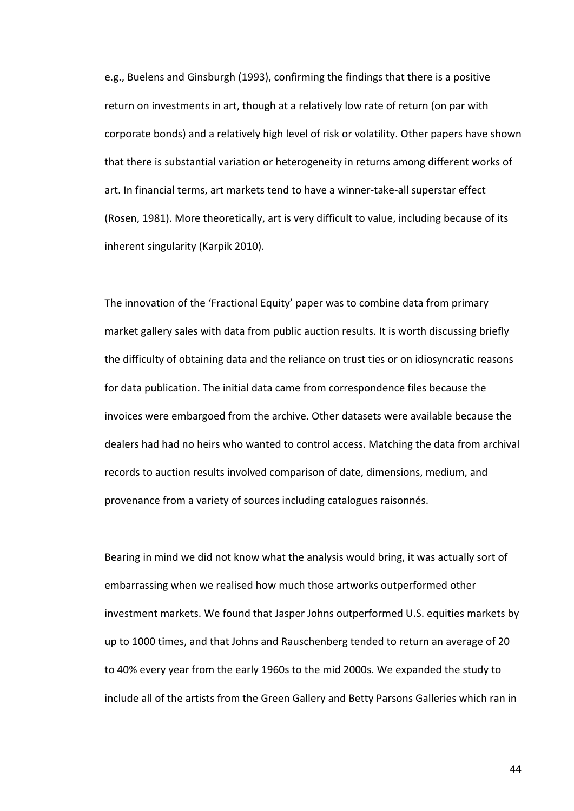e.g., Buelens and Ginsburgh (1993), confirming the findings that there is a positive return on investments in art, though at a relatively low rate of return (on par with corporate bonds) and a relatively high level of risk or volatility. Other papers have shown that there is substantial variation or heterogeneity in returns among different works of art. In financial terms, art markets tend to have a winner-take-all superstar effect (Rosen, 1981). More theoretically, art is very difficult to value, including because of its inherent singularity (Karpik 2010).

The innovation of the 'Fractional Equity' paper was to combine data from primary market gallery sales with data from public auction results. It is worth discussing briefly the difficulty of obtaining data and the reliance on trust ties or on idiosyncratic reasons for data publication. The initial data came from correspondence files because the invoices were embargoed from the archive. Other datasets were available because the dealers had had no heirs who wanted to control access. Matching the data from archival records to auction results involved comparison of date, dimensions, medium, and provenance from a variety of sources including catalogues raisonnés.

Bearing in mind we did not know what the analysis would bring, it was actually sort of embarrassing when we realised how much those artworks outperformed other investment markets. We found that Jasper Johns outperformed U.S. equities markets by up to 1000 times, and that Johns and Rauschenberg tended to return an average of 20 to 40% every year from the early 1960s to the mid 2000s. We expanded the study to include all of the artists from the Green Gallery and Betty Parsons Galleries which ran in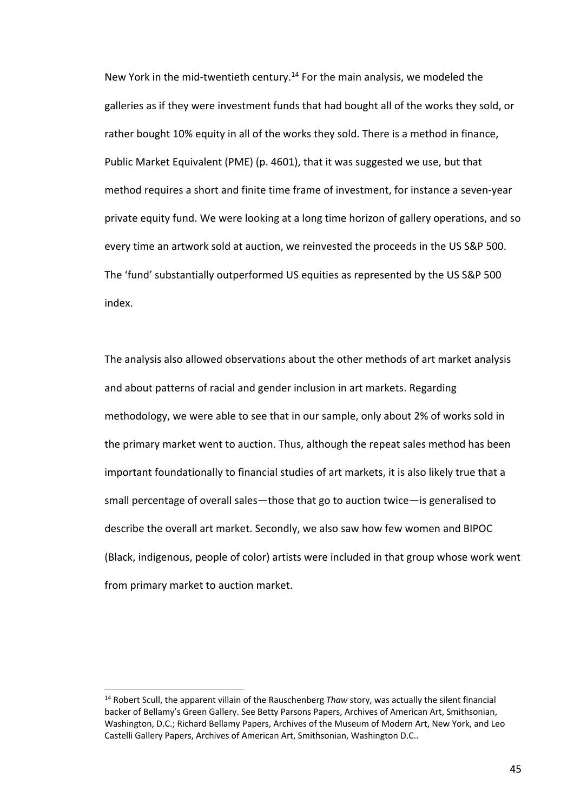New York in the mid-twentieth century.<sup>14</sup> For the main analysis, we modeled the galleries as if they were investment funds that had bought all of the works they sold, or rather bought 10% equity in all of the works they sold. There is a method in finance, Public Market Equivalent (PME) (p. 4601), that it was suggested we use, but that method requires a short and finite time frame of investment, for instance a seven-year private equity fund. We were looking at a long time horizon of gallery operations, and so every time an artwork sold at auction, we reinvested the proceeds in the US S&P 500. The 'fund' substantially outperformed US equities as represented by the US S&P 500 index.

The analysis also allowed observations about the other methods of art market analysis and about patterns of racial and gender inclusion in art markets. Regarding methodology, we were able to see that in our sample, only about 2% of works sold in the primary market went to auction. Thus, although the repeat sales method has been important foundationally to financial studies of art markets, it is also likely true that a small percentage of overall sales—those that go to auction twice—is generalised to describe the overall art market. Secondly, we also saw how few women and BIPOC (Black, indigenous, people of color) artists were included in that group whose work went from primary market to auction market.

<sup>14</sup> Robert Scull, the apparent villain of the Rauschenberg *Thaw* story, was actually the silent financial backer of Bellamy's Green Gallery. See Betty Parsons Papers, Archives of American Art, Smithsonian, Washington, D.C.; Richard Bellamy Papers, Archives of the Museum of Modern Art, New York, and Leo Castelli Gallery Papers, Archives of American Art, Smithsonian, Washington D.C..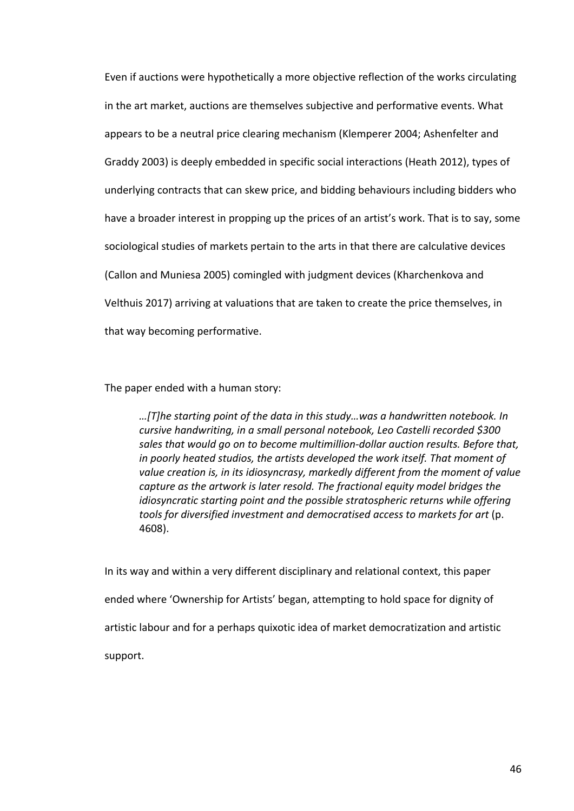Even if auctions were hypothetically a more objective reflection of the works circulating in the art market, auctions are themselves subjective and performative events. What appears to be a neutral price clearing mechanism (Klemperer 2004; Ashenfelter and Graddy 2003) is deeply embedded in specific social interactions (Heath 2012), types of underlying contracts that can skew price, and bidding behaviours including bidders who have a broader interest in propping up the prices of an artist's work. That is to say, some sociological studies of markets pertain to the arts in that there are calculative devices (Callon and Muniesa 2005) comingled with judgment devices (Kharchenkova and Velthuis 2017) arriving at valuations that are taken to create the price themselves, in that way becoming performative.

The paper ended with a human story:

*…[T]he starting point of the data in this study…was a handwritten notebook. In cursive handwriting, in a small personal notebook, Leo Castelli recorded \$300 sales that would go on to become multimillion-dollar auction results. Before that, in poorly heated studios, the artists developed the work itself. That moment of value creation is, in its idiosyncrasy, markedly different from the moment of value capture as the artwork is later resold. The fractional equity model bridges the idiosyncratic starting point and the possible stratospheric returns while offering tools for diversified investment and democratised access to markets for art* (p. 4608).

In its way and within a very different disciplinary and relational context, this paper ended where 'Ownership for Artists' began, attempting to hold space for dignity of artistic labour and for a perhaps quixotic idea of market democratization and artistic support.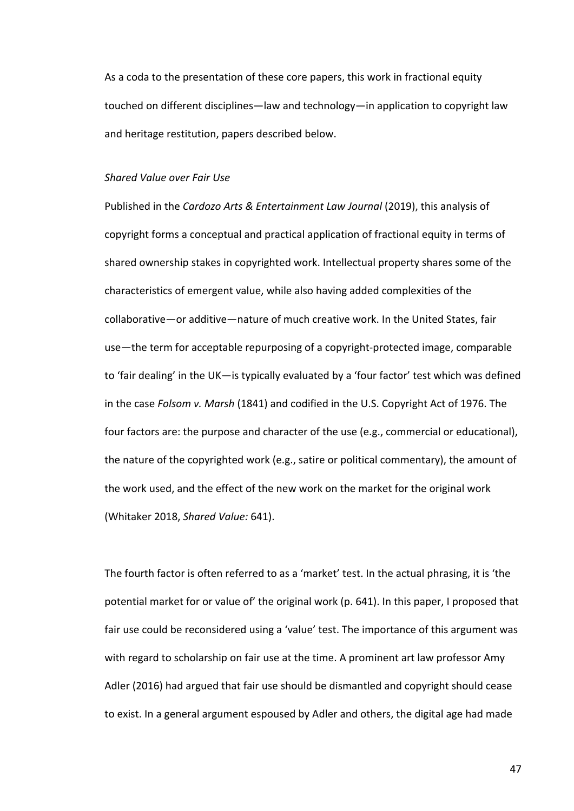As a coda to the presentation of these core papers, this work in fractional equity touched on different disciplines—law and technology—in application to copyright law and heritage restitution, papers described below.

## *Shared Value over Fair Use*

Published in the *Cardozo Arts & Entertainment Law Journal* (2019), this analysis of copyright forms a conceptual and practical application of fractional equity in terms of shared ownership stakes in copyrighted work. Intellectual property shares some of the characteristics of emergent value, while also having added complexities of the collaborative—or additive—nature of much creative work. In the United States, fair use—the term for acceptable repurposing of a copyright-protected image, comparable to 'fair dealing' in the UK—is typically evaluated by a 'four factor' test which was defined in the case *Folsom v. Marsh* (1841) and codified in the U.S. Copyright Act of 1976. The four factors are: the purpose and character of the use (e.g., commercial or educational), the nature of the copyrighted work (e.g., satire or political commentary), the amount of the work used, and the effect of the new work on the market for the original work (Whitaker 2018, *Shared Value:* 641).

The fourth factor is often referred to as a 'market' test. In the actual phrasing, it is 'the potential market for or value of' the original work (p. 641). In this paper, I proposed that fair use could be reconsidered using a 'value' test. The importance of this argument was with regard to scholarship on fair use at the time. A prominent art law professor Amy Adler (2016) had argued that fair use should be dismantled and copyright should cease to exist. In a general argument espoused by Adler and others, the digital age had made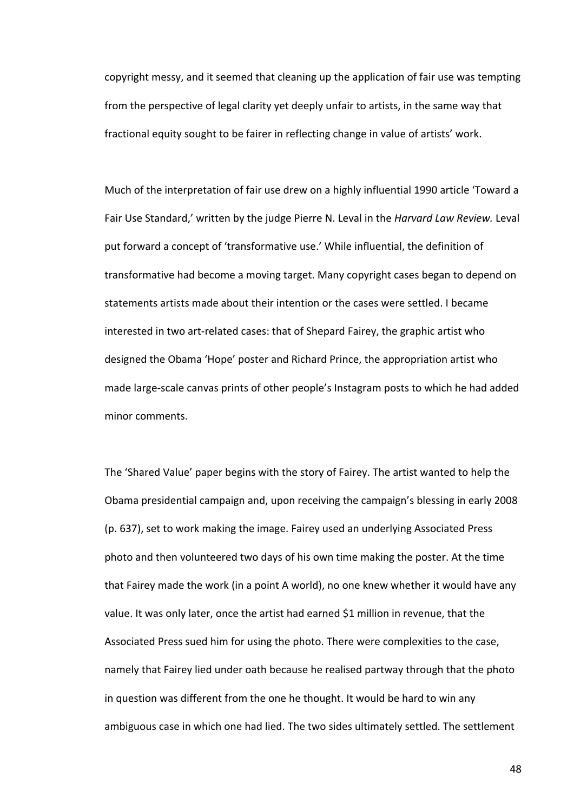copyright messy, and it seemed that cleaning up the application of fair use was tempting from the perspective of legal clarity yet deeply unfair to artists, in the same way that fractional equity sought to be fairer in reflecting change in value of artists' work.

Much of the interpretation of fair use drew on a highly influential 1990 article 'Toward a Fair Use Standard,' written by the judge Pierre N. Leval in the *Harvard Law Review.* Leval put forward a concept of 'transformative use.' While influential, the definition of transformative had become a moving target. Many copyright cases began to depend on statements artists made about their intention or the cases were settled. I became interested in two art-related cases: that of Shepard Fairey, the graphic artist who designed the Obama 'Hope' poster and Richard Prince, the appropriation artist who made large-scale canvas prints of other people's Instagram posts to which he had added minor comments.

The 'Shared Value' paper begins with the story of Fairey. The artist wanted to help the Obama presidential campaign and, upon receiving the campaign's blessing in early 2008 (p. 637), set to work making the image. Fairey used an underlying Associated Press photo and then volunteered two days of his own time making the poster. At the time that Fairey made the work (in a point A world), no one knew whether it would have any value. It was only later, once the artist had earned \$1 million in revenue, that the Associated Press sued him for using the photo. There were complexities to the case, namely that Fairey lied under oath because he realised partway through that the photo in question was different from the one he thought. It would be hard to win any ambiguous case in which one had lied. The two sides ultimately settled. The settlement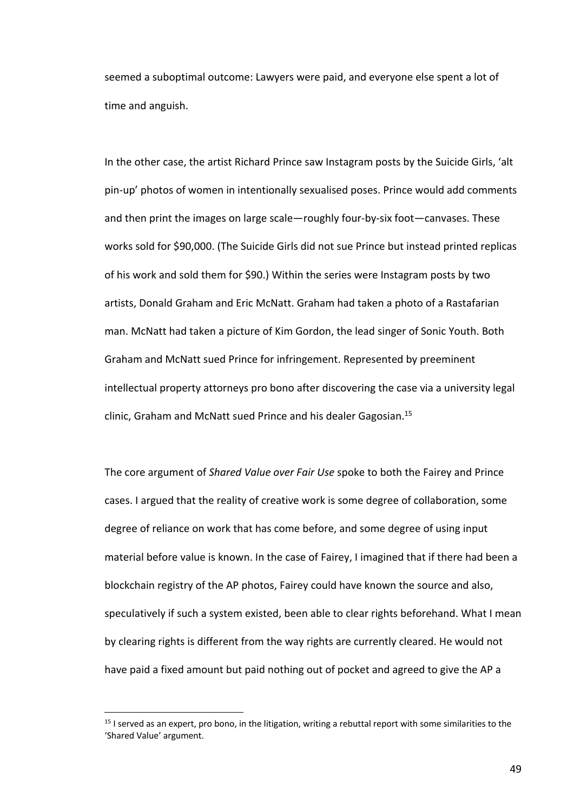seemed a suboptimal outcome: Lawyers were paid, and everyone else spent a lot of time and anguish.

In the other case, the artist Richard Prince saw Instagram posts by the Suicide Girls, 'alt pin-up' photos of women in intentionally sexualised poses. Prince would add comments and then print the images on large scale—roughly four-by-six foot—canvases. These works sold for \$90,000. (The Suicide Girls did not sue Prince but instead printed replicas of his work and sold them for \$90.) Within the series were Instagram posts by two artists, Donald Graham and Eric McNatt. Graham had taken a photo of a Rastafarian man. McNatt had taken a picture of Kim Gordon, the lead singer of Sonic Youth. Both Graham and McNatt sued Prince for infringement. Represented by preeminent intellectual property attorneys pro bono after discovering the case via a university legal clinic, Graham and McNatt sued Prince and his dealer Gagosian.<sup>15</sup>

The core argument of *Shared Value over Fair Use* spoke to both the Fairey and Prince cases. I argued that the reality of creative work is some degree of collaboration, some degree of reliance on work that has come before, and some degree of using input material before value is known. In the case of Fairey, I imagined that if there had been a blockchain registry of the AP photos, Fairey could have known the source and also, speculatively if such a system existed, been able to clear rights beforehand. What I mean by clearing rights is different from the way rights are currently cleared. He would not have paid a fixed amount but paid nothing out of pocket and agreed to give the AP a

 $15$  I served as an expert, pro bono, in the litigation, writing a rebuttal report with some similarities to the 'Shared Value' argument.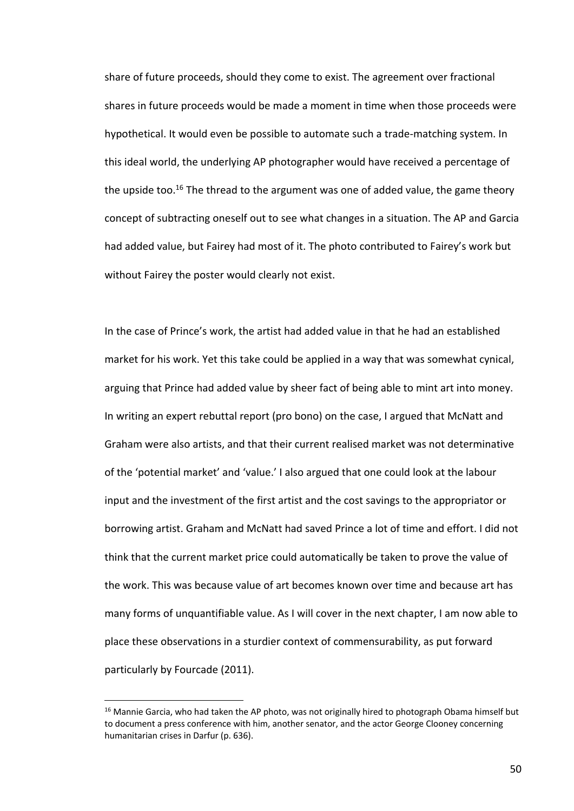share of future proceeds, should they come to exist. The agreement over fractional shares in future proceeds would be made a moment in time when those proceeds were hypothetical. It would even be possible to automate such a trade-matching system. In this ideal world, the underlying AP photographer would have received a percentage of the upside too.<sup>16</sup> The thread to the argument was one of added value, the game theory concept of subtracting oneself out to see what changes in a situation. The AP and Garcia had added value, but Fairey had most of it. The photo contributed to Fairey's work but without Fairey the poster would clearly not exist.

In the case of Prince's work, the artist had added value in that he had an established market for his work. Yet this take could be applied in a way that was somewhat cynical, arguing that Prince had added value by sheer fact of being able to mint art into money. In writing an expert rebuttal report (pro bono) on the case, I argued that McNatt and Graham were also artists, and that their current realised market was not determinative of the 'potential market' and 'value.' I also argued that one could look at the labour input and the investment of the first artist and the cost savings to the appropriator or borrowing artist. Graham and McNatt had saved Prince a lot of time and effort. I did not think that the current market price could automatically be taken to prove the value of the work. This was because value of art becomes known over time and because art has many forms of unquantifiable value. As I will cover in the next chapter, I am now able to place these observations in a sturdier context of commensurability, as put forward particularly by Fourcade (2011).

<sup>&</sup>lt;sup>16</sup> Mannie Garcia, who had taken the AP photo, was not originally hired to photograph Obama himself but to document a press conference with him, another senator, and the actor George Clooney concerning humanitarian crises in Darfur (p. 636).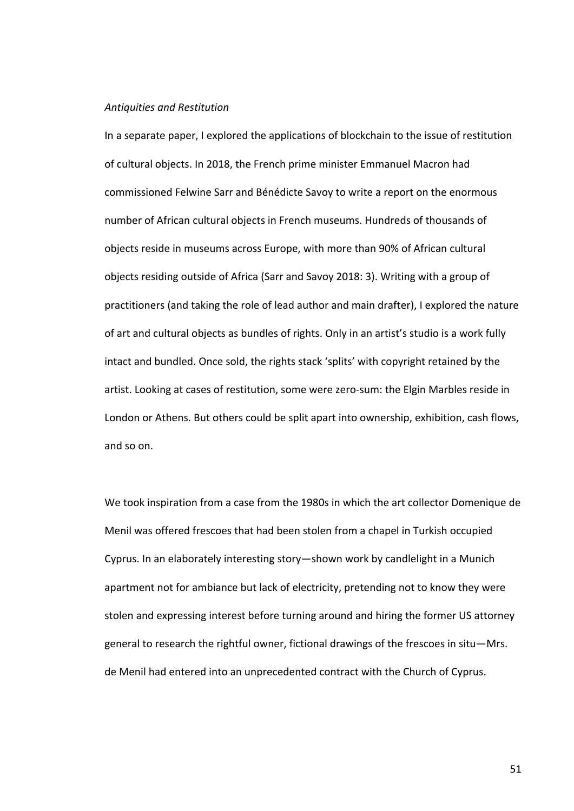#### *Antiquities and Restitution*

In a separate paper, I explored the applications of blockchain to the issue of restitution of cultural objects. In 2018, the French prime minister Emmanuel Macron had commissioned Felwine Sarr and Bénédicte Savoy to write a report on the enormous number of African cultural objects in French museums. Hundreds of thousands of objects reside in museums across Europe, with more than 90% of African cultural objects residing outside of Africa (Sarr and Savoy 2018: 3). Writing with a group of practitioners (and taking the role of lead author and main drafter), I explored the nature of art and cultural objects as bundles of rights. Only in an artist's studio is a work fully intact and bundled. Once sold, the rights stack 'splits' with copyright retained by the artist. Looking at cases of restitution, some were zero-sum: the Elgin Marbles reside in London or Athens. But others could be split apart into ownership, exhibition, cash flows, and so on.

We took inspiration from a case from the 1980s in which the art collector Domenique de Menil was offered frescoes that had been stolen from a chapel in Turkish occupied Cyprus. In an elaborately interesting story—shown work by candlelight in a Munich apartment not for ambiance but lack of electricity, pretending not to know they were stolen and expressing interest before turning around and hiring the former US attorney general to research the rightful owner, fictional drawings of the frescoes in situ—Mrs. de Menil had entered into an unprecedented contract with the Church of Cyprus.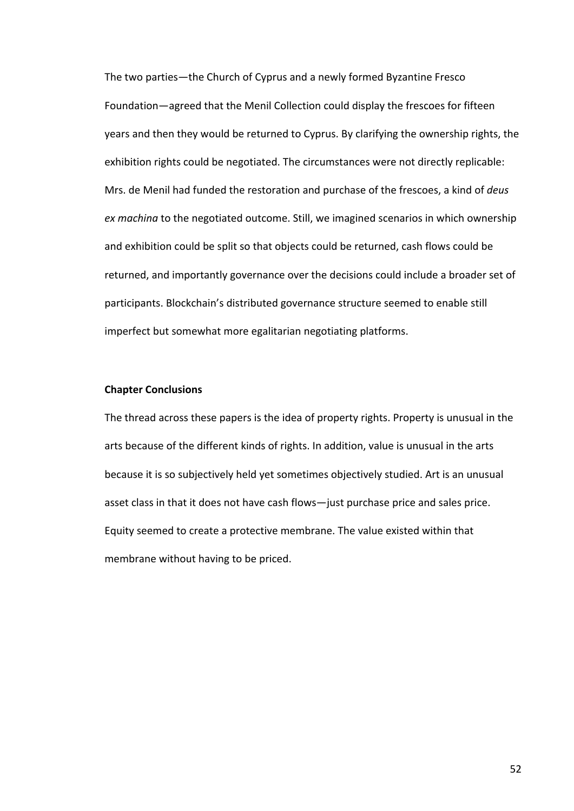The two parties—the Church of Cyprus and a newly formed Byzantine Fresco Foundation—agreed that the Menil Collection could display the frescoes for fifteen years and then they would be returned to Cyprus. By clarifying the ownership rights, the exhibition rights could be negotiated. The circumstances were not directly replicable: Mrs. de Menil had funded the restoration and purchase of the frescoes, a kind of *deus ex machina* to the negotiated outcome. Still, we imagined scenarios in which ownership and exhibition could be split so that objects could be returned, cash flows could be returned, and importantly governance over the decisions could include a broader set of participants. Blockchain's distributed governance structure seemed to enable still imperfect but somewhat more egalitarian negotiating platforms.

# **Chapter Conclusions**

The thread across these papers is the idea of property rights. Property is unusual in the arts because of the different kinds of rights. In addition, value is unusual in the arts because it is so subjectively held yet sometimes objectively studied. Art is an unusual asset class in that it does not have cash flows—just purchase price and sales price. Equity seemed to create a protective membrane. The value existed within that membrane without having to be priced.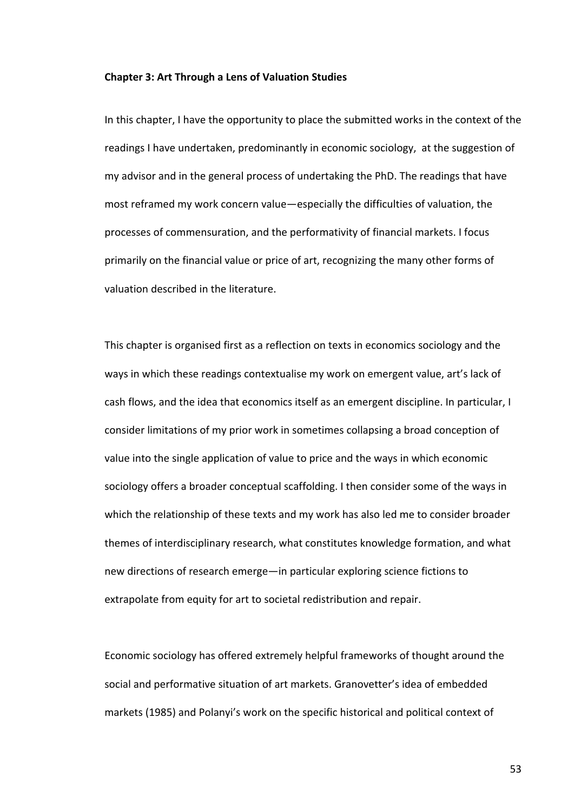### **Chapter 3: Art Through a Lens of Valuation Studies**

In this chapter, I have the opportunity to place the submitted works in the context of the readings I have undertaken, predominantly in economic sociology, at the suggestion of my advisor and in the general process of undertaking the PhD. The readings that have most reframed my work concern value—especially the difficulties of valuation, the processes of commensuration, and the performativity of financial markets. I focus primarily on the financial value or price of art, recognizing the many other forms of valuation described in the literature.

This chapter is organised first as a reflection on texts in economics sociology and the ways in which these readings contextualise my work on emergent value, art's lack of cash flows, and the idea that economics itself as an emergent discipline. In particular, I consider limitations of my prior work in sometimes collapsing a broad conception of value into the single application of value to price and the ways in which economic sociology offers a broader conceptual scaffolding. I then consider some of the ways in which the relationship of these texts and my work has also led me to consider broader themes of interdisciplinary research, what constitutes knowledge formation, and what new directions of research emerge—in particular exploring science fictions to extrapolate from equity for art to societal redistribution and repair.

Economic sociology has offered extremely helpful frameworks of thought around the social and performative situation of art markets. Granovetter's idea of embedded markets (1985) and Polanyi's work on the specific historical and political context of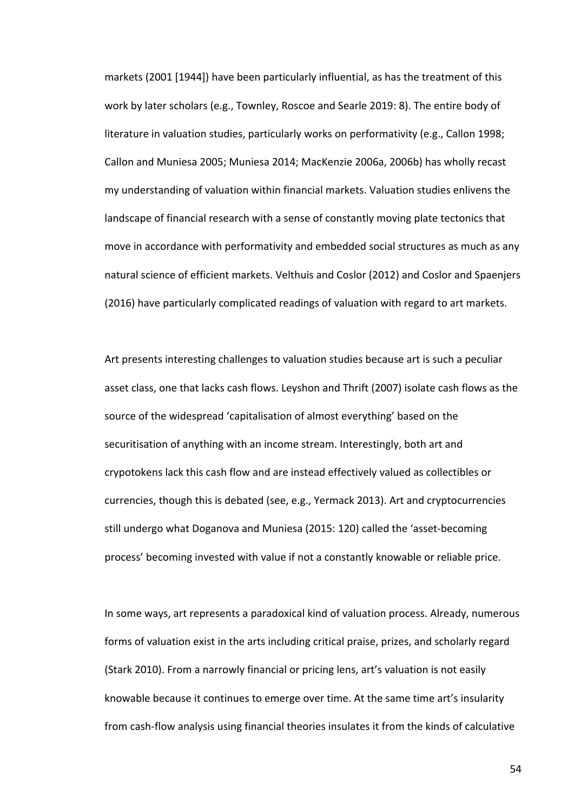markets (2001 [1944]) have been particularly influential, as has the treatment of this work by later scholars (e.g., Townley, Roscoe and Searle 2019: 8). The entire body of literature in valuation studies, particularly works on performativity (e.g., Callon 1998; Callon and Muniesa 2005; Muniesa 2014; MacKenzie 2006a, 2006b) has wholly recast my understanding of valuation within financial markets. Valuation studies enlivens the landscape of financial research with a sense of constantly moving plate tectonics that move in accordance with performativity and embedded social structures as much as any natural science of efficient markets. Velthuis and Coslor (2012) and Coslor and Spaenjers (2016) have particularly complicated readings of valuation with regard to art markets.

Art presents interesting challenges to valuation studies because art is such a peculiar asset class, one that lacks cash flows. Leyshon and Thrift (2007) isolate cash flows as the source of the widespread 'capitalisation of almost everything' based on the securitisation of anything with an income stream. Interestingly, both art and crypotokens lack this cash flow and are instead effectively valued as collectibles or currencies, though this is debated (see, e.g., Yermack 2013). Art and cryptocurrencies still undergo what Doganova and Muniesa (2015: 120) called the 'asset-becoming process' becoming invested with value if not a constantly knowable or reliable price.

In some ways, art represents a paradoxical kind of valuation process. Already, numerous forms of valuation exist in the arts including critical praise, prizes, and scholarly regard (Stark 2010). From a narrowly financial or pricing lens, art's valuation is not easily knowable because it continues to emerge over time. At the same time art's insularity from cash-flow analysis using financial theories insulates it from the kinds of calculative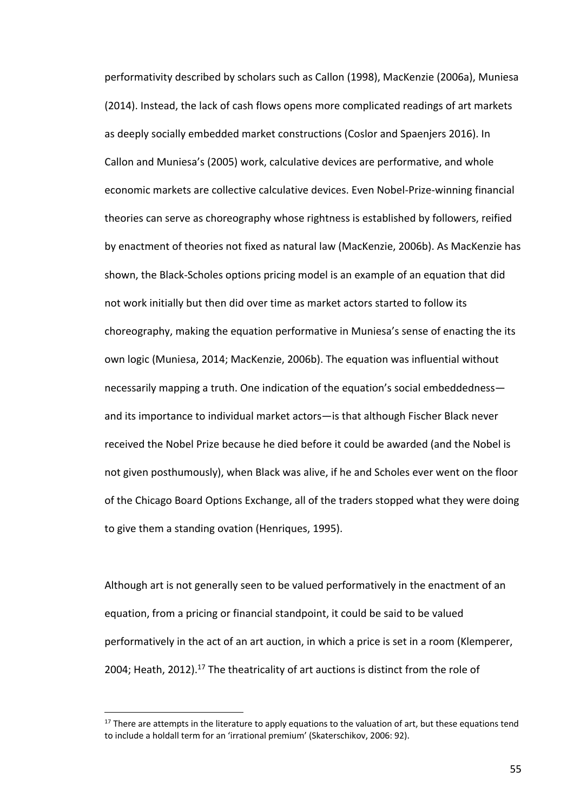performativity described by scholars such as Callon (1998), MacKenzie (2006a), Muniesa (2014). Instead, the lack of cash flows opens more complicated readings of art markets as deeply socially embedded market constructions (Coslor and Spaenjers 2016). In Callon and Muniesa's (2005) work, calculative devices are performative, and whole economic markets are collective calculative devices. Even Nobel-Prize-winning financial theories can serve as choreography whose rightness is established by followers, reified by enactment of theories not fixed as natural law (MacKenzie, 2006b). As MacKenzie has shown, the Black-Scholes options pricing model is an example of an equation that did not work initially but then did over time as market actors started to follow its choreography, making the equation performative in Muniesa's sense of enacting the its own logic (Muniesa, 2014; MacKenzie, 2006b). The equation was influential without necessarily mapping a truth. One indication of the equation's social embeddedness and its importance to individual market actors—is that although Fischer Black never received the Nobel Prize because he died before it could be awarded (and the Nobel is not given posthumously), when Black was alive, if he and Scholes ever went on the floor of the Chicago Board Options Exchange, all of the traders stopped what they were doing to give them a standing ovation (Henriques, 1995).

Although art is not generally seen to be valued performatively in the enactment of an equation, from a pricing or financial standpoint, it could be said to be valued performatively in the act of an art auction, in which a price is set in a room (Klemperer, 2004; Heath, 2012).<sup>17</sup> The theatricality of art auctions is distinct from the role of

<sup>&</sup>lt;sup>17</sup> There are attempts in the literature to apply equations to the valuation of art, but these equations tend to include a holdall term for an 'irrational premium' (Skaterschikov, 2006: 92).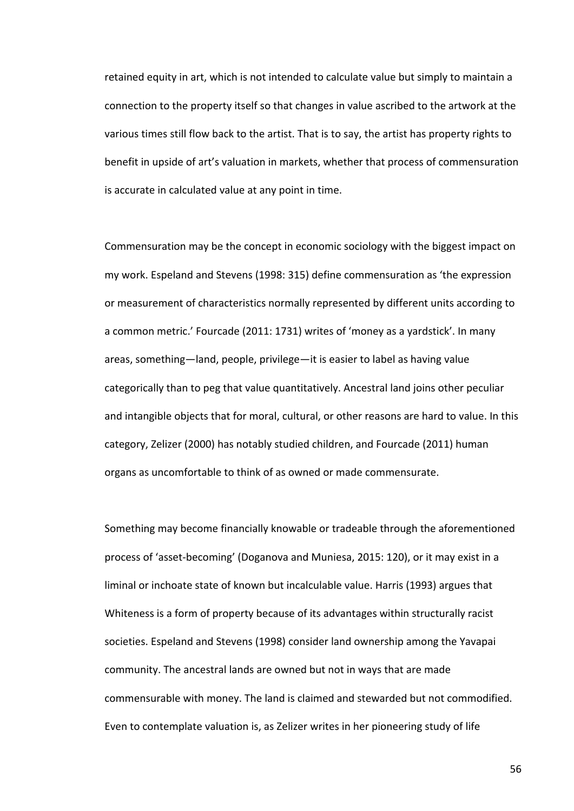retained equity in art, which is not intended to calculate value but simply to maintain a connection to the property itself so that changes in value ascribed to the artwork at the various times still flow back to the artist. That is to say, the artist has property rights to benefit in upside of art's valuation in markets, whether that process of commensuration is accurate in calculated value at any point in time.

Commensuration may be the concept in economic sociology with the biggest impact on my work. Espeland and Stevens (1998: 315) define commensuration as 'the expression or measurement of characteristics normally represented by different units according to a common metric.' Fourcade (2011: 1731) writes of 'money as a yardstick'. In many areas, something—land, people, privilege—it is easier to label as having value categorically than to peg that value quantitatively. Ancestral land joins other peculiar and intangible objects that for moral, cultural, or other reasons are hard to value. In this category, Zelizer (2000) has notably studied children, and Fourcade (2011) human organs as uncomfortable to think of as owned or made commensurate.

Something may become financially knowable or tradeable through the aforementioned process of 'asset-becoming' (Doganova and Muniesa, 2015: 120), or it may exist in a liminal or inchoate state of known but incalculable value. Harris (1993) argues that Whiteness is a form of property because of its advantages within structurally racist societies. Espeland and Stevens (1998) consider land ownership among the Yavapai community. The ancestral lands are owned but not in ways that are made commensurable with money. The land is claimed and stewarded but not commodified. Even to contemplate valuation is, as Zelizer writes in her pioneering study of life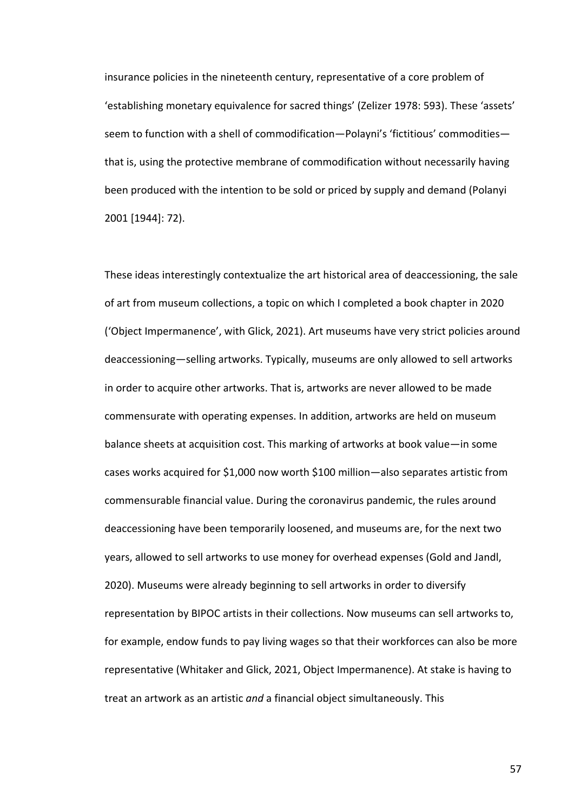insurance policies in the nineteenth century, representative of a core problem of 'establishing monetary equivalence for sacred things' (Zelizer 1978: 593). These 'assets' seem to function with a shell of commodification—Polayni's 'fictitious' commodities that is, using the protective membrane of commodification without necessarily having been produced with the intention to be sold or priced by supply and demand (Polanyi 2001 [1944]: 72).

These ideas interestingly contextualize the art historical area of deaccessioning, the sale of art from museum collections, a topic on which I completed a book chapter in 2020 ('Object Impermanence', with Glick, 2021). Art museums have very strict policies around deaccessioning—selling artworks. Typically, museums are only allowed to sell artworks in order to acquire other artworks. That is, artworks are never allowed to be made commensurate with operating expenses. In addition, artworks are held on museum balance sheets at acquisition cost. This marking of artworks at book value—in some cases works acquired for \$1,000 now worth \$100 million—also separates artistic from commensurable financial value. During the coronavirus pandemic, the rules around deaccessioning have been temporarily loosened, and museums are, for the next two years, allowed to sell artworks to use money for overhead expenses (Gold and Jandl, 2020). Museums were already beginning to sell artworks in order to diversify representation by BIPOC artists in their collections. Now museums can sell artworks to, for example, endow funds to pay living wages so that their workforces can also be more representative (Whitaker and Glick, 2021, Object Impermanence). At stake is having to treat an artwork as an artistic *and* a financial object simultaneously. This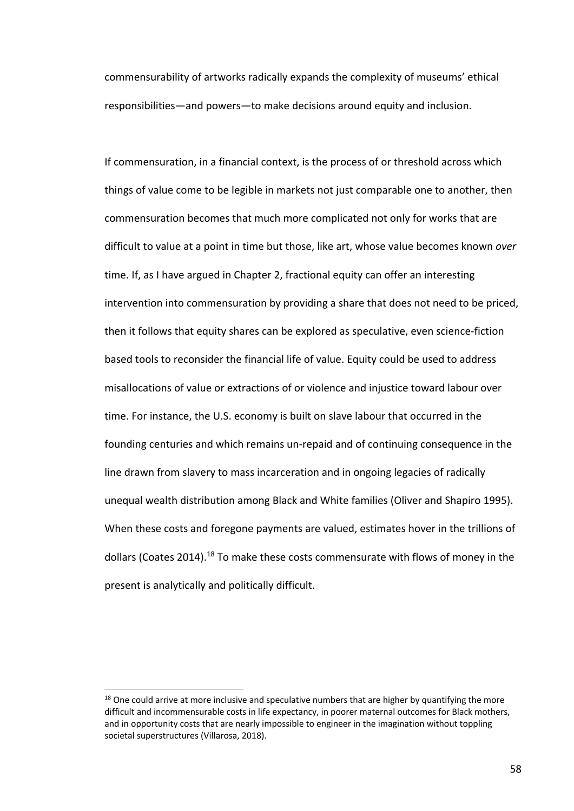commensurability of artworks radically expands the complexity of museums' ethical responsibilities—and powers—to make decisions around equity and inclusion.

If commensuration, in a financial context, is the process of or threshold across which things of value come to be legible in markets not just comparable one to another, then commensuration becomes that much more complicated not only for works that are difficult to value at a point in time but those, like art, whose value becomes known *over*  time. If, as I have argued in Chapter 2, fractional equity can offer an interesting intervention into commensuration by providing a share that does not need to be priced, then it follows that equity shares can be explored as speculative, even science-fiction based tools to reconsider the financial life of value. Equity could be used to address misallocations of value or extractions of or violence and injustice toward labour over time. For instance, the U.S. economy is built on slave labour that occurred in the founding centuries and which remains un-repaid and of continuing consequence in the line drawn from slavery to mass incarceration and in ongoing legacies of radically unequal wealth distribution among Black and White families (Oliver and Shapiro 1995). When these costs and foregone payments are valued, estimates hover in the trillions of dollars (Coates 2014).<sup>18</sup> To make these costs commensurate with flows of money in the present is analytically and politically difficult.

 $18$  One could arrive at more inclusive and speculative numbers that are higher by quantifying the more difficult and incommensurable costs in life expectancy, in poorer maternal outcomes for Black mothers, and in opportunity costs that are nearly impossible to engineer in the imagination without toppling societal superstructures (Villarosa, 2018).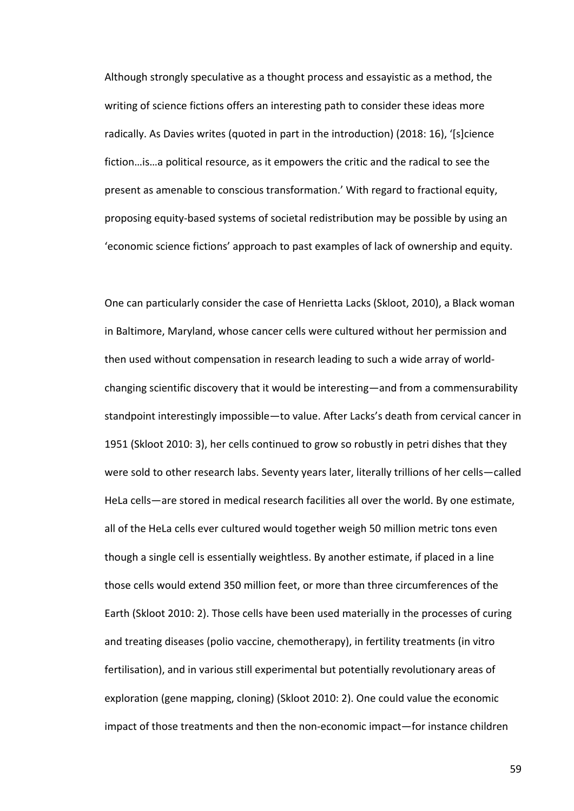Although strongly speculative as a thought process and essayistic as a method, the writing of science fictions offers an interesting path to consider these ideas more radically. As Davies writes (quoted in part in the introduction) (2018: 16), '[s]cience fiction…is…a political resource, as it empowers the critic and the radical to see the present as amenable to conscious transformation.' With regard to fractional equity, proposing equity-based systems of societal redistribution may be possible by using an 'economic science fictions' approach to past examples of lack of ownership and equity.

One can particularly consider the case of Henrietta Lacks (Skloot, 2010), a Black woman in Baltimore, Maryland, whose cancer cells were cultured without her permission and then used without compensation in research leading to such a wide array of worldchanging scientific discovery that it would be interesting—and from a commensurability standpoint interestingly impossible—to value. After Lacks's death from cervical cancer in 1951 (Skloot 2010: 3), her cells continued to grow so robustly in petri dishes that they were sold to other research labs. Seventy years later, literally trillions of her cells—called HeLa cells—are stored in medical research facilities all over the world. By one estimate, all of the HeLa cells ever cultured would together weigh 50 million metric tons even though a single cell is essentially weightless. By another estimate, if placed in a line those cells would extend 350 million feet, or more than three circumferences of the Earth (Skloot 2010: 2). Those cells have been used materially in the processes of curing and treating diseases (polio vaccine, chemotherapy), in fertility treatments (in vitro fertilisation), and in various still experimental but potentially revolutionary areas of exploration (gene mapping, cloning) (Skloot 2010: 2). One could value the economic impact of those treatments and then the non-economic impact—for instance children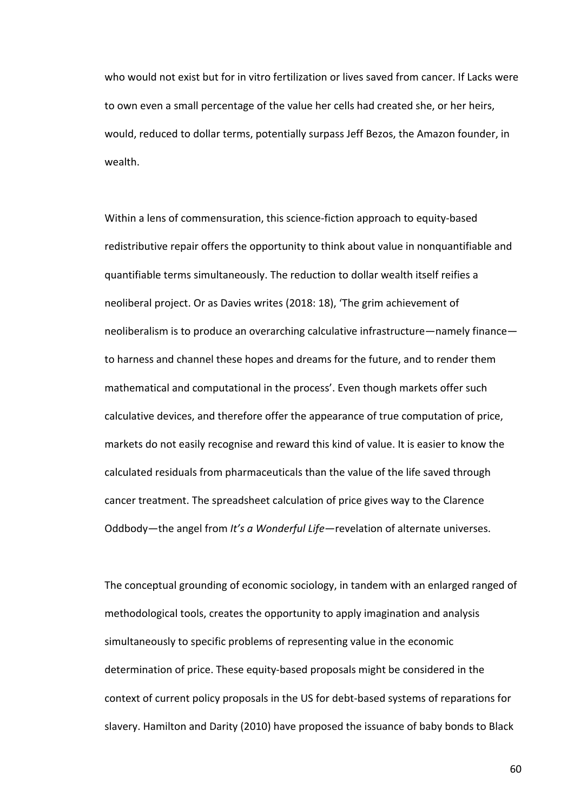who would not exist but for in vitro fertilization or lives saved from cancer. If Lacks were to own even a small percentage of the value her cells had created she, or her heirs, would, reduced to dollar terms, potentially surpass Jeff Bezos, the Amazon founder, in wealth.

Within a lens of commensuration, this science-fiction approach to equity-based redistributive repair offers the opportunity to think about value in nonquantifiable and quantifiable terms simultaneously. The reduction to dollar wealth itself reifies a neoliberal project. Or as Davies writes (2018: 18), 'The grim achievement of neoliberalism is to produce an overarching calculative infrastructure—namely finance to harness and channel these hopes and dreams for the future, and to render them mathematical and computational in the process'. Even though markets offer such calculative devices, and therefore offer the appearance of true computation of price, markets do not easily recognise and reward this kind of value. It is easier to know the calculated residuals from pharmaceuticals than the value of the life saved through cancer treatment. The spreadsheet calculation of price gives way to the Clarence Oddbody—the angel from *It's a Wonderful Life—*revelation of alternate universes.

The conceptual grounding of economic sociology, in tandem with an enlarged ranged of methodological tools, creates the opportunity to apply imagination and analysis simultaneously to specific problems of representing value in the economic determination of price. These equity-based proposals might be considered in the context of current policy proposals in the US for debt-based systems of reparations for slavery. Hamilton and Darity (2010) have proposed the issuance of baby bonds to Black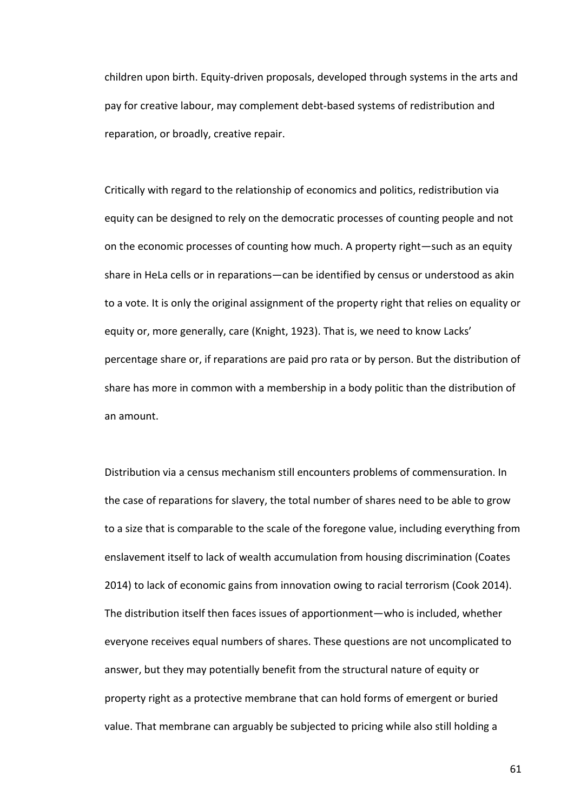children upon birth. Equity-driven proposals, developed through systems in the arts and pay for creative labour, may complement debt-based systems of redistribution and reparation, or broadly, creative repair.

Critically with regard to the relationship of economics and politics, redistribution via equity can be designed to rely on the democratic processes of counting people and not on the economic processes of counting how much. A property right—such as an equity share in HeLa cells or in reparations—can be identified by census or understood as akin to a vote. It is only the original assignment of the property right that relies on equality or equity or, more generally, care (Knight, 1923). That is, we need to know Lacks' percentage share or, if reparations are paid pro rata or by person. But the distribution of share has more in common with a membership in a body politic than the distribution of an amount.

Distribution via a census mechanism still encounters problems of commensuration. In the case of reparations for slavery, the total number of shares need to be able to grow to a size that is comparable to the scale of the foregone value, including everything from enslavement itself to lack of wealth accumulation from housing discrimination (Coates 2014) to lack of economic gains from innovation owing to racial terrorism (Cook 2014). The distribution itself then faces issues of apportionment—who is included, whether everyone receives equal numbers of shares. These questions are not uncomplicated to answer, but they may potentially benefit from the structural nature of equity or property right as a protective membrane that can hold forms of emergent or buried value. That membrane can arguably be subjected to pricing while also still holding a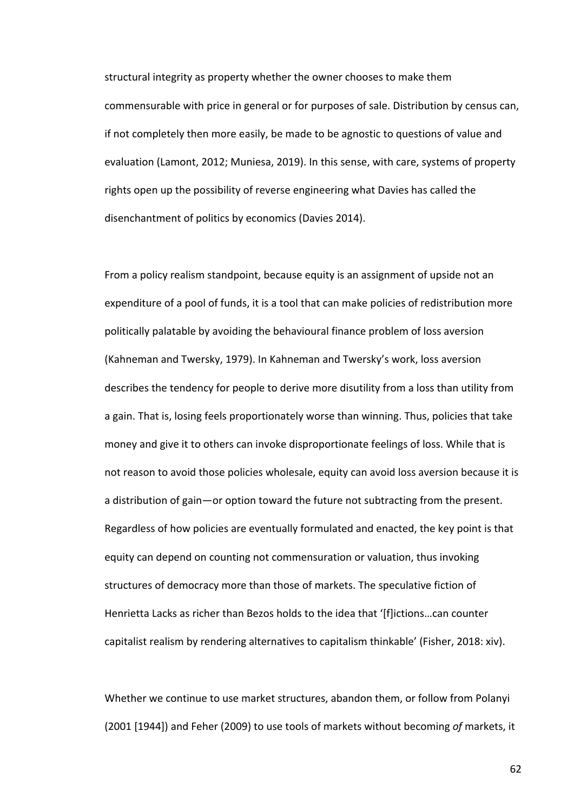structural integrity as property whether the owner chooses to make them commensurable with price in general or for purposes of sale. Distribution by census can, if not completely then more easily, be made to be agnostic to questions of value and evaluation (Lamont, 2012; Muniesa, 2019). In this sense, with care, systems of property rights open up the possibility of reverse engineering what Davies has called the disenchantment of politics by economics (Davies 2014).

From a policy realism standpoint, because equity is an assignment of upside not an expenditure of a pool of funds, it is a tool that can make policies of redistribution more politically palatable by avoiding the behavioural finance problem of loss aversion (Kahneman and Twersky, 1979). In Kahneman and Twersky's work, loss aversion describes the tendency for people to derive more disutility from a loss than utility from a gain. That is, losing feels proportionately worse than winning. Thus, policies that take money and give it to others can invoke disproportionate feelings of loss. While that is not reason to avoid those policies wholesale, equity can avoid loss aversion because it is a distribution of gain—or option toward the future not subtracting from the present. Regardless of how policies are eventually formulated and enacted, the key point is that equity can depend on counting not commensuration or valuation, thus invoking structures of democracy more than those of markets. The speculative fiction of Henrietta Lacks as richer than Bezos holds to the idea that '[f]ictions…can counter capitalist realism by rendering alternatives to capitalism thinkable' (Fisher, 2018: xiv).

Whether we continue to use market structures, abandon them, or follow from Polanyi (2001 [1944]) and Feher (2009) to use tools of markets without becoming *of* markets, it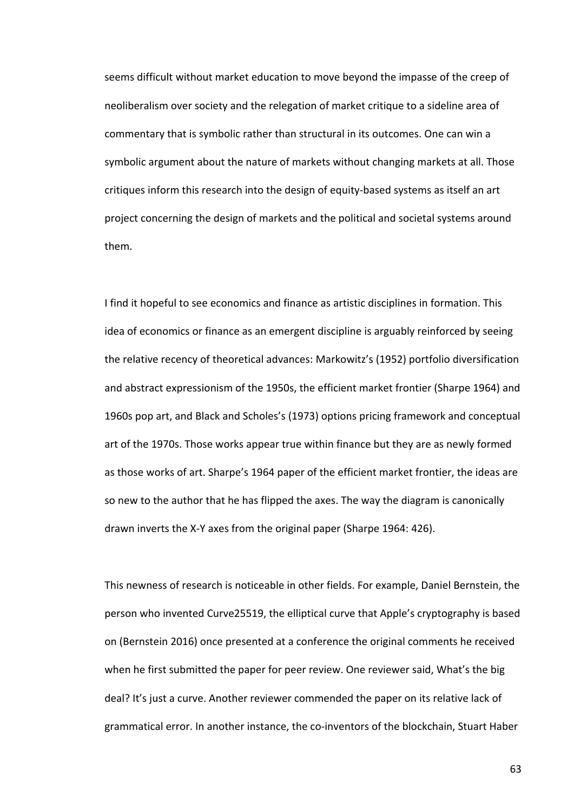seems difficult without market education to move beyond the impasse of the creep of neoliberalism over society and the relegation of market critique to a sideline area of commentary that is symbolic rather than structural in its outcomes. One can win a symbolic argument about the nature of markets without changing markets at all. Those critiques inform this research into the design of equity-based systems as itself an art project concerning the design of markets and the political and societal systems around them.

I find it hopeful to see economics and finance as artistic disciplines in formation. This idea of economics or finance as an emergent discipline is arguably reinforced by seeing the relative recency of theoretical advances: Markowitz's (1952) portfolio diversification and abstract expressionism of the 1950s, the efficient market frontier (Sharpe 1964) and 1960s pop art, and Black and Scholes's (1973) options pricing framework and conceptual art of the 1970s. Those works appear true within finance but they are as newly formed as those works of art. Sharpe's 1964 paper of the efficient market frontier, the ideas are so new to the author that he has flipped the axes. The way the diagram is canonically drawn inverts the X-Y axes from the original paper (Sharpe 1964: 426).

This newness of research is noticeable in other fields. For example, Daniel Bernstein, the person who invented Curve25519, the elliptical curve that Apple's cryptography is based on (Bernstein 2016) once presented at a conference the original comments he received when he first submitted the paper for peer review. One reviewer said, What's the big deal? It's just a curve. Another reviewer commended the paper on its relative lack of grammatical error. In another instance, the co-inventors of the blockchain, Stuart Haber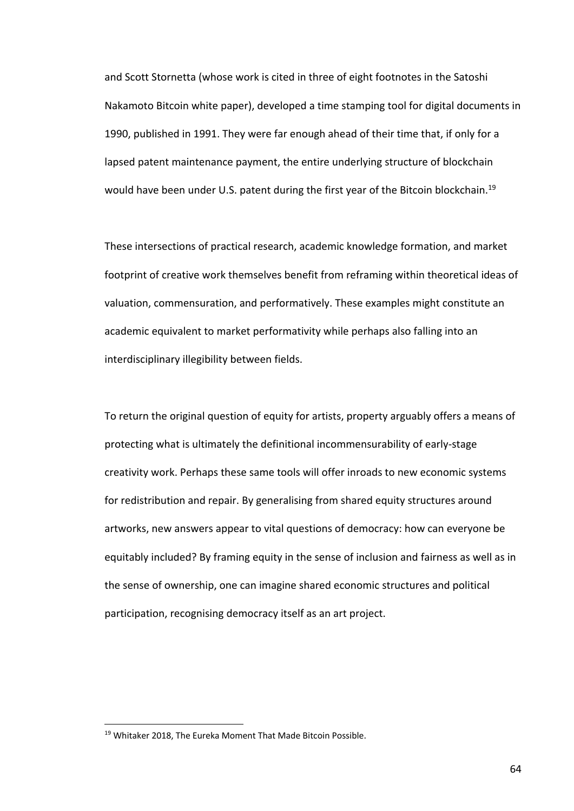and Scott Stornetta (whose work is cited in three of eight footnotes in the Satoshi Nakamoto Bitcoin white paper), developed a time stamping tool for digital documents in 1990, published in 1991. They were far enough ahead of their time that, if only for a lapsed patent maintenance payment, the entire underlying structure of blockchain would have been under U.S. patent during the first year of the Bitcoin blockchain.<sup>19</sup>

These intersections of practical research, academic knowledge formation, and market footprint of creative work themselves benefit from reframing within theoretical ideas of valuation, commensuration, and performatively. These examples might constitute an academic equivalent to market performativity while perhaps also falling into an interdisciplinary illegibility between fields.

To return the original question of equity for artists, property arguably offers a means of protecting what is ultimately the definitional incommensurability of early-stage creativity work. Perhaps these same tools will offer inroads to new economic systems for redistribution and repair. By generalising from shared equity structures around artworks, new answers appear to vital questions of democracy: how can everyone be equitably included? By framing equity in the sense of inclusion and fairness as well as in the sense of ownership, one can imagine shared economic structures and political participation, recognising democracy itself as an art project.

<sup>&</sup>lt;sup>19</sup> Whitaker 2018, The Eureka Moment That Made Bitcoin Possible.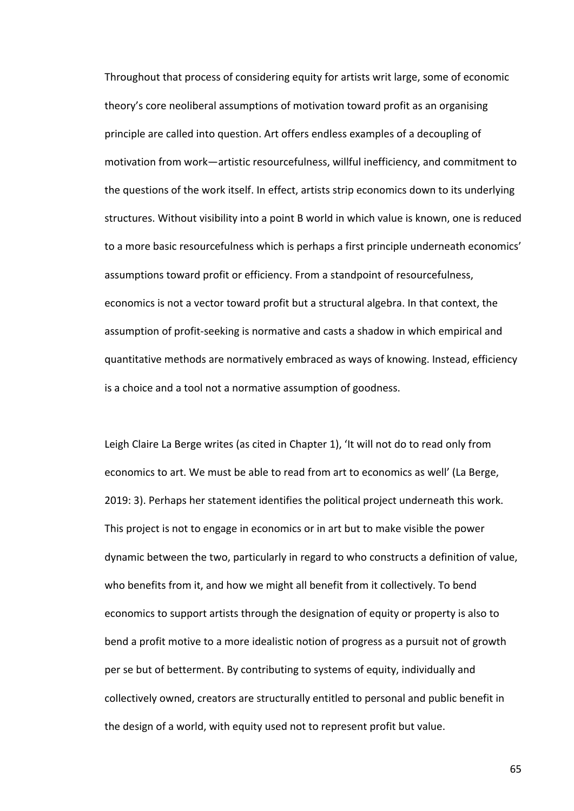Throughout that process of considering equity for artists writ large, some of economic theory's core neoliberal assumptions of motivation toward profit as an organising principle are called into question. Art offers endless examples of a decoupling of motivation from work—artistic resourcefulness, willful inefficiency, and commitment to the questions of the work itself. In effect, artists strip economics down to its underlying structures. Without visibility into a point B world in which value is known, one is reduced to a more basic resourcefulness which is perhaps a first principle underneath economics' assumptions toward profit or efficiency. From a standpoint of resourcefulness, economics is not a vector toward profit but a structural algebra. In that context, the assumption of profit-seeking is normative and casts a shadow in which empirical and quantitative methods are normatively embraced as ways of knowing. Instead, efficiency is a choice and a tool not a normative assumption of goodness.

Leigh Claire La Berge writes (as cited in Chapter 1), 'It will not do to read only from economics to art. We must be able to read from art to economics as well' (La Berge, 2019: 3). Perhaps her statement identifies the political project underneath this work. This project is not to engage in economics or in art but to make visible the power dynamic between the two, particularly in regard to who constructs a definition of value, who benefits from it, and how we might all benefit from it collectively. To bend economics to support artists through the designation of equity or property is also to bend a profit motive to a more idealistic notion of progress as a pursuit not of growth per se but of betterment. By contributing to systems of equity, individually and collectively owned, creators are structurally entitled to personal and public benefit in the design of a world, with equity used not to represent profit but value.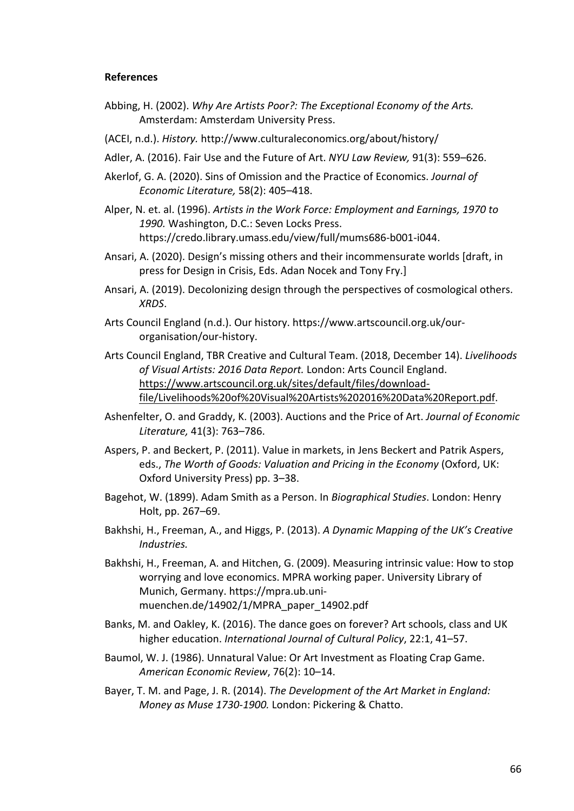# **References**

- Abbing, H. (2002). *Why Are Artists Poor?: The Exceptional Economy of the Arts.*  Amsterdam: Amsterdam University Press.
- (ACEI, n.d.). *History.* http://www.culturaleconomics.org/about/history/
- Adler, A. (2016). Fair Use and the Future of Art. *NYU Law Review,* 91(3): 559–626.
- Akerlof, G. A. (2020). Sins of Omission and the Practice of Economics. *Journal of Economic Literature,* 58(2): 405–418.
- Alper, N. et. al. (1996). *Artists in the Work Force: Employment and Earnings, 1970 to 1990.* Washington, D.C.: Seven Locks Press. https://credo.library.umass.edu/view/full/mums686-b001-i044.
- Ansari, A. (2020). Design's missing others and their incommensurate worlds [draft, in press for Design in Crisis, Eds. Adan Nocek and Tony Fry.]
- Ansari, A. (2019). Decolonizing design through the perspectives of cosmological others. *XRDS*.
- Arts Council England (n.d.). Our history. https://www.artscouncil.org.uk/ourorganisation/our-history.
- Arts Council England, TBR Creative and Cultural Team. (2018, December 14). *Livelihoods of Visual Artists: 2016 Data Report.* London: Arts Council England. https://www.artscouncil.org.uk/sites/default/files/downloadfile/Livelihoods%20of%20Visual%20Artists%202016%20Data%20Report.pdf.
- Ashenfelter, O. and Graddy, K. (2003). Auctions and the Price of Art. *Journal of Economic Literature,* 41(3): 763–786.
- Aspers, P. and Beckert, P. (2011). Value in markets, in Jens Beckert and Patrik Aspers, eds., *The Worth of Goods: Valuation and Pricing in the Economy* (Oxford, UK: Oxford University Press) pp. 3–38.
- Bagehot, W. (1899). Adam Smith as a Person. In *Biographical Studies*. London: Henry Holt, pp. 267–69.
- Bakhshi, H., Freeman, A., and Higgs, P. (2013). *A Dynamic Mapping of the UK's Creative Industries.*
- Bakhshi, H., Freeman, A. and Hitchen, G. (2009). Measuring intrinsic value: How to stop worrying and love economics. MPRA working paper. University Library of Munich, Germany. https://mpra.ub.unimuenchen.de/14902/1/MPRA\_paper\_14902.pdf
- Banks, M. and Oakley, K. (2016). The dance goes on forever? Art schools, class and UK higher education. *International Journal of Cultural Policy*, 22:1, 41–57.
- Baumol, W. J. (1986). Unnatural Value: Or Art Investment as Floating Crap Game. *American Economic Review*, 76(2): 10–14.
- Bayer, T. M. and Page, J. R. (2014). *The Development of the Art Market in England: Money as Muse 1730-1900.* London: Pickering & Chatto.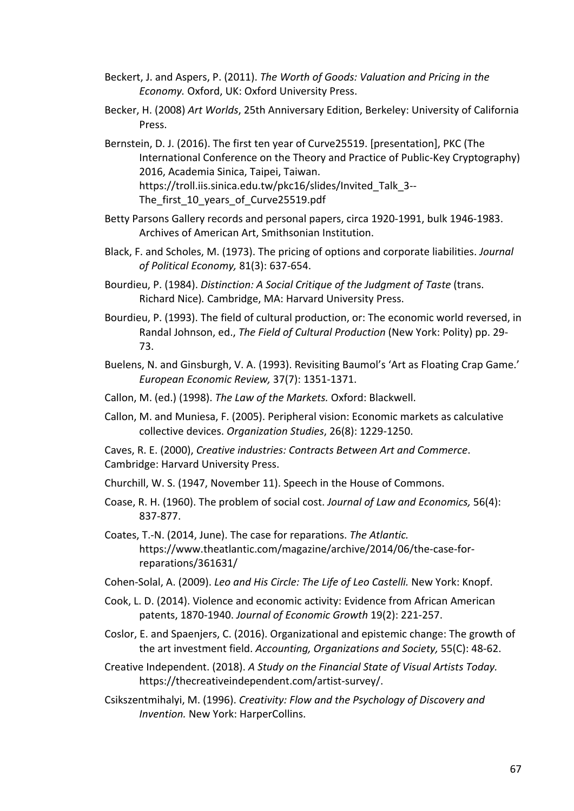- Beckert, J. and Aspers, P. (2011). *The Worth of Goods: Valuation and Pricing in the Economy.* Oxford, UK: Oxford University Press.
- Becker, H. (2008) *Art Worlds*, 25th Anniversary Edition, Berkeley: University of California **Press**
- Bernstein, D. J. (2016). The first ten year of Curve25519. [presentation], PKC (The International Conference on the Theory and Practice of Public-Key Cryptography) 2016, Academia Sinica, Taipei, Taiwan. https://troll.iis.sinica.edu.tw/pkc16/slides/Invited\_Talk\_3-- The first 10 years of Curve25519.pdf
- Betty Parsons Gallery records and personal papers, circa 1920-1991, bulk 1946-1983. Archives of American Art, Smithsonian Institution.
- Black, F. and Scholes, M. (1973). The pricing of options and corporate liabilities. *Journal of Political Economy,* 81(3): 637-654.
- Bourdieu, P. (1984). *Distinction: A Social Critique of the Judgment of Taste* (trans. Richard Nice)*.* Cambridge, MA: Harvard University Press.
- Bourdieu, P. (1993). The field of cultural production, or: The economic world reversed, in Randal Johnson, ed., *The Field of Cultural Production* (New York: Polity) pp. 29- 73.
- Buelens, N. and Ginsburgh, V. A. (1993). Revisiting Baumol's 'Art as Floating Crap Game.' *European Economic Review,* 37(7): 1351-1371.
- Callon, M. (ed.) (1998). *The Law of the Markets.* Oxford: Blackwell.
- Callon, M. and Muniesa, F. (2005). Peripheral vision: Economic markets as calculative collective devices. *Organization Studies*, 26(8): 1229-1250.

Caves, R. E. (2000), *Creative industries: Contracts Between Art and Commerce*. Cambridge: Harvard University Press.

- Churchill, W. S. (1947, November 11). Speech in the House of Commons.
- Coase, R. H. (1960). The problem of social cost. *Journal of Law and Economics,* 56(4): 837-877.
- Coates, T.-N. (2014, June). The case for reparations. *The Atlantic.*  https://www.theatlantic.com/magazine/archive/2014/06/the-case-forreparations/361631/
- Cohen-Solal, A. (2009). *Leo and His Circle: The Life of Leo Castelli.* New York: Knopf.
- Cook, L. D. (2014). Violence and economic activity: Evidence from African American patents, 1870-1940. *Journal of Economic Growth* 19(2): 221-257.
- Coslor, E. and Spaenjers, C. (2016). Organizational and epistemic change: The growth of the art investment field. *Accounting, Organizations and Society,* 55(C): 48-62.
- Creative Independent. (2018). *A Study on the Financial State of Visual Artists Today.*  https://thecreativeindependent.com/artist-survey/.
- Csikszentmihalyi, M. (1996). *Creativity: Flow and the Psychology of Discovery and Invention.* New York: HarperCollins.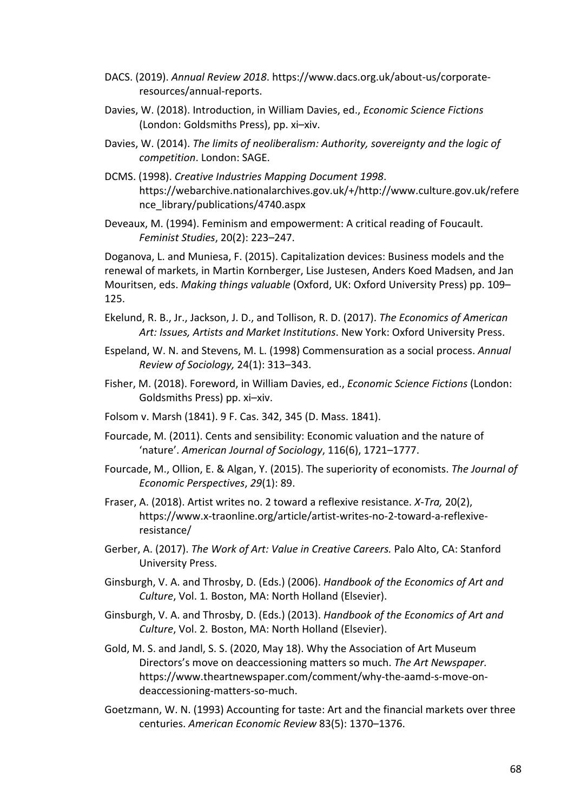- DACS. (2019). *Annual Review 2018*. https://www.dacs.org.uk/about-us/corporateresources/annual-reports.
- Davies, W. (2018). Introduction, in William Davies, ed., *Economic Science Fictions* (London: Goldsmiths Press), pp. xi–xiv.
- Davies, W. (2014). *The limits of neoliberalism: Authority, sovereignty and the logic of competition*. London: SAGE.
- DCMS. (1998). *Creative Industries Mapping Document 1998*. https://webarchive.nationalarchives.gov.uk/+/http://www.culture.gov.uk/refere nce\_library/publications/4740.aspx
- Deveaux, M. (1994). Feminism and empowerment: A critical reading of Foucault. *Feminist Studies*, 20(2): 223–247.

Doganova, L. and Muniesa, F. (2015). Capitalization devices: Business models and the renewal of markets, in Martin Kornberger, Lise Justesen, Anders Koed Madsen, and Jan Mouritsen, eds. *Making things valuable* (Oxford, UK: Oxford University Press) pp. 109– 125.

- Ekelund, R. B., Jr., Jackson, J. D., and Tollison, R. D. (2017). *The Economics of American Art: Issues, Artists and Market Institutions*. New York: Oxford University Press.
- Espeland, W. N. and Stevens, M. L. (1998) Commensuration as a social process. *Annual Review of Sociology,* 24(1): 313–343.
- Fisher, M. (2018). Foreword, in William Davies, ed., *Economic Science Fictions* (London: Goldsmiths Press) pp. xi–xiv.
- Folsom v. Marsh (1841). 9 F. Cas. 342, 345 (D. Mass. 1841).
- Fourcade, M. (2011). Cents and sensibility: Economic valuation and the nature of 'nature'. *American Journal of Sociology*, 116(6), 1721–1777.
- Fourcade, M., Ollion, E. & Algan, Y. (2015). The superiority of economists. *The Journal of Economic Perspectives*, *29*(1): 89.
- Fraser, A. (2018). Artist writes no. 2 toward a reflexive resistance. *X-Tra,* 20(2), https://www.x-traonline.org/article/artist-writes-no-2-toward-a-reflexiveresistance/
- Gerber, A. (2017). *The Work of Art: Value in Creative Careers.* Palo Alto, CA: Stanford University Press.
- Ginsburgh, V. A. and Throsby, D. (Eds.) (2006). *Handbook of the Economics of Art and Culture*, Vol. 1*.* Boston, MA: North Holland (Elsevier).
- Ginsburgh, V. A. and Throsby, D. (Eds.) (2013). *Handbook of the Economics of Art and Culture*, Vol. 2*.* Boston, MA: North Holland (Elsevier).
- Gold, M. S. and Jandl, S. S. (2020, May 18). Why the Association of Art Museum Directors's move on deaccessioning matters so much. *The Art Newspaper.*  https://www.theartnewspaper.com/comment/why-the-aamd-s-move-ondeaccessioning-matters-so-much.
- Goetzmann, W. N. (1993) Accounting for taste: Art and the financial markets over three centuries. *American Economic Review* 83(5): 1370–1376.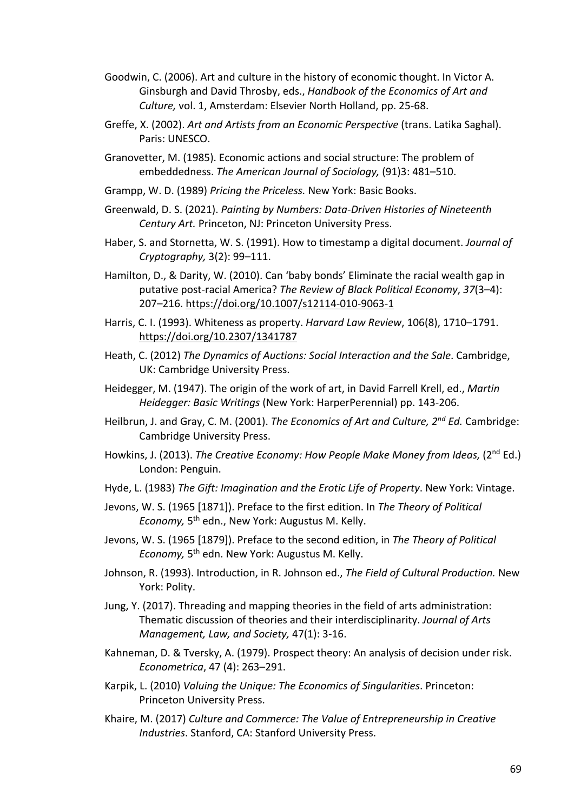- Goodwin, C. (2006). Art and culture in the history of economic thought. In Victor A. Ginsburgh and David Throsby, eds., *Handbook of the Economics of Art and Culture,* vol. 1, Amsterdam: Elsevier North Holland, pp. 25-68.
- Greffe, X. (2002). *Art and Artists from an Economic Perspective* (trans. Latika Saghal). Paris: UNESCO.
- Granovetter, M. (1985). Economic actions and social structure: The problem of embeddedness. *The American Journal of Sociology,* (91)3: 481–510.
- Grampp, W. D. (1989) *Pricing the Priceless.* New York: Basic Books.
- Greenwald, D. S. (2021). *Painting by Numbers: Data-Driven Histories of Nineteenth Century Art.* Princeton, NJ: Princeton University Press.
- Haber, S. and Stornetta, W. S. (1991). How to timestamp a digital document. *Journal of Cryptography,* 3(2): 99–111.
- Hamilton, D., & Darity, W. (2010). Can 'baby bonds' Eliminate the racial wealth gap in putative post-racial America? *The Review of Black Political Economy*, *37*(3–4): 207–216. https://doi.org/10.1007/s12114-010-9063-1
- Harris, C. I. (1993). Whiteness as property. *Harvard Law Review*, 106(8), 1710–1791. https://doi.org/10.2307/1341787
- Heath, C. (2012) *The Dynamics of Auctions: Social Interaction and the Sale*. Cambridge, UK: Cambridge University Press.
- Heidegger, M. (1947). The origin of the work of art, in David Farrell Krell, ed., *Martin Heidegger: Basic Writings* (New York: HarperPerennial) pp. 143-206.
- Heilbrun, J. and Gray, C. M. (2001). *The Economics of Art and Culture, 2nd Ed.* Cambridge: Cambridge University Press.
- Howkins, J. (2013). *The Creative Economy: How People Make Money from Ideas,* (2<sup>nd</sup> Ed.) London: Penguin.
- Hyde, L. (1983) *The Gift: Imagination and the Erotic Life of Property*. New York: Vintage.
- Jevons, W. S. (1965 [1871]). Preface to the first edition. In *The Theory of Political Economy,* 5th edn., New York: Augustus M. Kelly.
- Jevons, W. S. (1965 [1879]). Preface to the second edition, in *The Theory of Political Economy,* 5th edn. New York: Augustus M. Kelly.
- Johnson, R. (1993). Introduction, in R. Johnson ed., *The Field of Cultural Production.* New York: Polity.
- Jung, Y. (2017). Threading and mapping theories in the field of arts administration: Thematic discussion of theories and their interdisciplinarity. *Journal of Arts Management, Law, and Society,* 47(1): 3-16.
- Kahneman, D. & Tversky, A. (1979). Prospect theory: An analysis of decision under risk. *Econometrica*, 47 (4): 263–291.
- Karpik, L. (2010) *Valuing the Unique: The Economics of Singularities*. Princeton: Princeton University Press.
- Khaire, M. (2017) *Culture and Commerce: The Value of Entrepreneurship in Creative Industries*. Stanford, CA: Stanford University Press.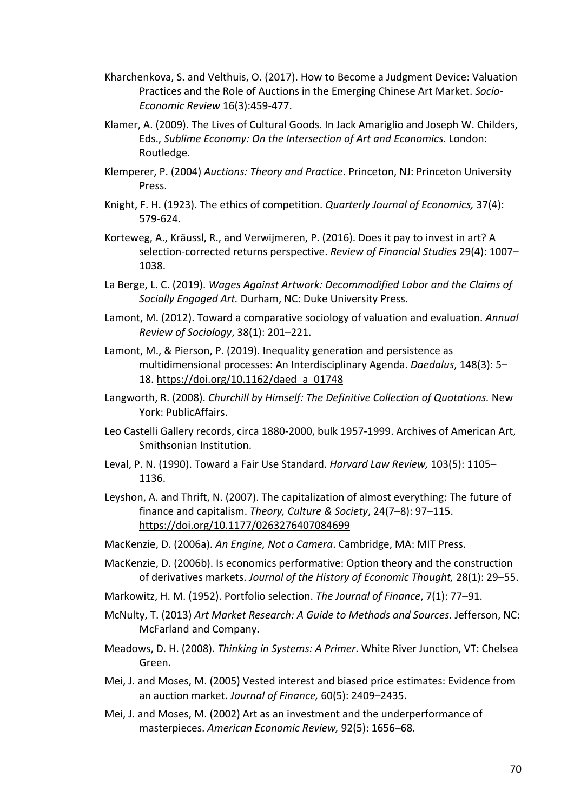- Kharchenkova, S. and Velthuis, O. (2017). How to Become a Judgment Device: Valuation Practices and the Role of Auctions in the Emerging Chinese Art Market. *Socio-Economic Review* 16(3):459-477.
- Klamer, A. (2009). The Lives of Cultural Goods. In Jack Amariglio and Joseph W. Childers, Eds., *Sublime Economy: On the Intersection of Art and Economics*. London: Routledge.
- Klemperer, P. (2004) *Auctions: Theory and Practice*. Princeton, NJ: Princeton University Press.
- Knight, F. H. (1923). The ethics of competition. *Quarterly Journal of Economics,* 37(4): 579-624.
- Korteweg, A., Kräussl, R., and Verwijmeren, P. (2016). Does it pay to invest in art? A selection-corrected returns perspective. *Review of Financial Studies* 29(4): 1007– 1038.
- La Berge, L. C. (2019). *Wages Against Artwork: Decommodified Labor and the Claims of Socially Engaged Art.* Durham, NC: Duke University Press.
- Lamont, M. (2012). Toward a comparative sociology of valuation and evaluation. *Annual Review of Sociology*, 38(1): 201–221.
- Lamont, M., & Pierson, P. (2019). Inequality generation and persistence as multidimensional processes: An Interdisciplinary Agenda. *Daedalus*, 148(3): 5– 18. https://doi.org/10.1162/daed\_a\_01748
- Langworth, R. (2008). *Churchill by Himself: The Definitive Collection of Quotations.* New York: PublicAffairs.
- Leo Castelli Gallery records, circa 1880-2000, bulk 1957-1999. Archives of American Art, Smithsonian Institution.
- Leval, P. N. (1990). Toward a Fair Use Standard. *Harvard Law Review,* 103(5): 1105– 1136.
- Leyshon, A. and Thrift, N. (2007). The capitalization of almost everything: The future of finance and capitalism. *Theory, Culture & Society*, 24(7–8): 97–115. https://doi.org/10.1177/0263276407084699
- MacKenzie, D. (2006a). *An Engine, Not a Camera*. Cambridge, MA: MIT Press.
- MacKenzie, D. (2006b). Is economics performative: Option theory and the construction of derivatives markets. *Journal of the History of Economic Thought,* 28(1): 29–55.
- Markowitz, H. M. (1952). Portfolio selection. *The Journal of Finance*, 7(1): 77–91.
- McNulty, T. (2013) *Art Market Research: A Guide to Methods and Sources*. Jefferson, NC: McFarland and Company.
- Meadows, D. H. (2008). *Thinking in Systems: A Primer*. White River Junction, VT: Chelsea Green.
- Mei, J. and Moses, M. (2005) Vested interest and biased price estimates: Evidence from an auction market. *Journal of Finance,* 60(5): 2409–2435.
- Mei, J. and Moses, M. (2002) Art as an investment and the underperformance of masterpieces. *American Economic Review,* 92(5): 1656–68.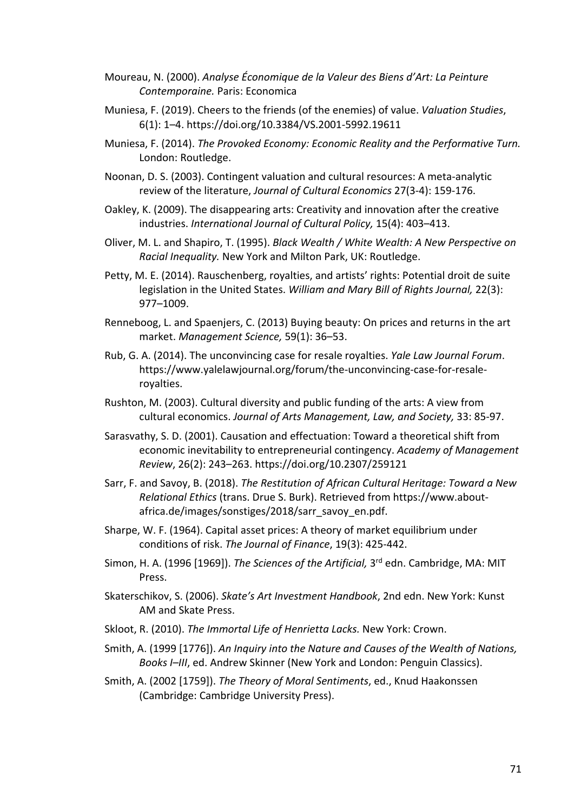- Moureau, N. (2000). *Analyse Économique de la Valeur des Biens d'Art: La Peinture Contemporaine.* Paris: Economica
- Muniesa, F. (2019). Cheers to the friends (of the enemies) of value. *Valuation Studies*, 6(1): 1–4. https://doi.org/10.3384/VS.2001-5992.19611
- Muniesa, F. (2014). *The Provoked Economy: Economic Reality and the Performative Turn.*  London: Routledge.
- Noonan, D. S. (2003). Contingent valuation and cultural resources: A meta-analytic review of the literature, *Journal of Cultural Economics* 27(3-4): 159-176.
- Oakley, K. (2009). The disappearing arts: Creativity and innovation after the creative industries. *International Journal of Cultural Policy,* 15(4): 403–413.
- Oliver, M. L. and Shapiro, T. (1995). *Black Wealth / White Wealth: A New Perspective on Racial Inequality.* New York and Milton Park, UK: Routledge.
- Petty, M. E. (2014). Rauschenberg, royalties, and artists' rights: Potential droit de suite legislation in the United States. *William and Mary Bill of Rights Journal,* 22(3): 977–1009.
- Renneboog, L. and Spaenjers, C. (2013) Buying beauty: On prices and returns in the art market. *Management Science,* 59(1): 36–53.
- Rub, G. A. (2014). The unconvincing case for resale royalties. *Yale Law Journal Forum*. https://www.yalelawjournal.org/forum/the-unconvincing-case-for-resaleroyalties.
- Rushton, M. (2003). Cultural diversity and public funding of the arts: A view from cultural economics. *Journal of Arts Management, Law, and Society,* 33: 85-97.
- Sarasvathy, S. D. (2001). Causation and effectuation: Toward a theoretical shift from economic inevitability to entrepreneurial contingency. *Academy of Management Review*, 26(2): 243–263. https://doi.org/10.2307/259121
- Sarr, F. and Savoy, B. (2018). *The Restitution of African Cultural Heritage: Toward a New Relational Ethics* (trans. Drue S. Burk). Retrieved from https://www.aboutafrica.de/images/sonstiges/2018/sarr\_savoy\_en.pdf.
- Sharpe, W. F. (1964). Capital asset prices: A theory of market equilibrium under conditions of risk. *The Journal of Finance*, 19(3): 425-442.
- Simon, H. A. (1996 [1969]). *The Sciences of the Artificial*, 3<sup>rd</sup> edn. Cambridge, MA: MIT Press.
- Skaterschikov, S. (2006). *Skate's Art Investment Handbook*, 2nd edn. New York: Kunst AM and Skate Press.
- Skloot, R. (2010). *The Immortal Life of Henrietta Lacks.* New York: Crown.
- Smith, A. (1999 [1776]). *An Inquiry into the Nature and Causes of the Wealth of Nations, Books I–III*, ed. Andrew Skinner (New York and London: Penguin Classics).
- Smith, A. (2002 [1759]). *The Theory of Moral Sentiments*, ed., Knud Haakonssen (Cambridge: Cambridge University Press).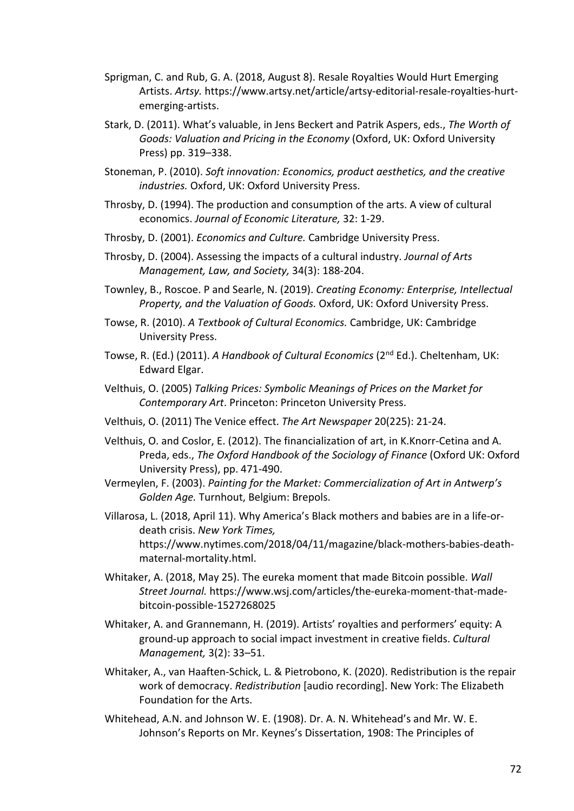- Sprigman, C. and Rub, G. A. (2018, August 8). Resale Royalties Would Hurt Emerging Artists. *Artsy.* https://www.artsy.net/article/artsy-editorial-resale-royalties-hurtemerging-artists.
- Stark, D. (2011). What's valuable, in Jens Beckert and Patrik Aspers, eds., *The Worth of Goods: Valuation and Pricing in the Economy* (Oxford, UK: Oxford University Press) pp. 319–338.
- Stoneman, P. (2010). *Soft innovation: Economics, product aesthetics, and the creative industries.* Oxford, UK: Oxford University Press.
- Throsby, D. (1994). The production and consumption of the arts. A view of cultural economics. *Journal of Economic Literature,* 32: 1-29.
- Throsby, D. (2001). *Economics and Culture.* Cambridge University Press.
- Throsby, D. (2004). Assessing the impacts of a cultural industry. *Journal of Arts Management, Law, and Society,* 34(3): 188-204.
- Townley, B., Roscoe. P and Searle, N. (2019). *Creating Economy: Enterprise, Intellectual Property, and the Valuation of Goods.* Oxford, UK: Oxford University Press.
- Towse, R. (2010). *A Textbook of Cultural Economics.* Cambridge, UK: Cambridge University Press.
- Towse, R. (Ed.) (2011). *A Handbook of Cultural Economics* (2nd Ed.). Cheltenham, UK: Edward Elgar.
- Velthuis, O. (2005) *Talking Prices: Symbolic Meanings of Prices on the Market for Contemporary Art*. Princeton: Princeton University Press.
- Velthuis, O. (2011) The Venice effect. *The Art Newspaper* 20(225): 21-24.
- Velthuis, O. and Coslor, E. (2012). The financialization of art, in K.Knorr-Cetina and A. Preda, eds., *The Oxford Handbook of the Sociology of Finance* (Oxford UK: Oxford University Press), pp. 471-490.
- Vermeylen, F. (2003). *Painting for the Market: Commercialization of Art in Antwerp's Golden Age.* Turnhout, Belgium: Brepols.
- Villarosa, L. (2018, April 11). Why America's Black mothers and babies are in a life-ordeath crisis. *New York Times,* https://www.nytimes.com/2018/04/11/magazine/black-mothers-babies-deathmaternal-mortality.html.
- Whitaker, A. (2018, May 25). The eureka moment that made Bitcoin possible. *Wall Street Journal.* https://www.wsj.com/articles/the-eureka-moment-that-madebitcoin-possible-1527268025
- Whitaker, A. and Grannemann, H. (2019). Artists' royalties and performers' equity: A ground-up approach to social impact investment in creative fields. *Cultural Management,* 3(2): 33–51.
- Whitaker, A., van Haaften-Schick, L. & Pietrobono, K. (2020). Redistribution is the repair work of democracy. *Redistribution* [audio recording]. New York: The Elizabeth Foundation for the Arts.
- Whitehead, A.N. and Johnson W. E. (1908). Dr. A. N. Whitehead's and Mr. W. E. Johnson's Reports on Mr. Keynes's Dissertation, 1908: The Principles of